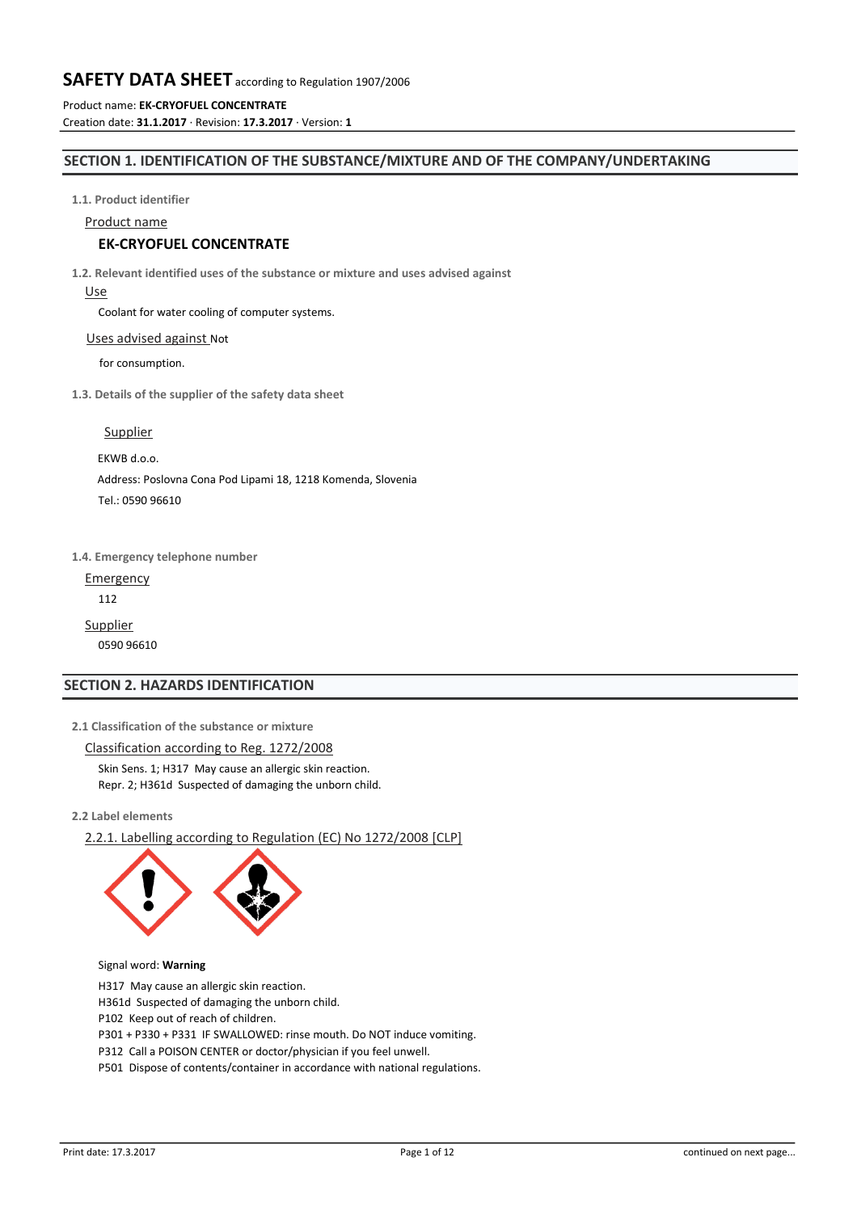Product name: **EK-CRYOFUEL CONCENTRATE** Creation date: **31.1.2017** · Revision: **17.3.2017** · Version: **1**

# **SECTION 1. IDENTIFICATION OF THE SUBSTANCE/MIXTURE AND OF THE COMPANY/UNDERTAKING**

**1.1. Product identifier**

Product name

# **EK-CRYOFUEL CONCENTRATE**

**1.2. Relevant identified uses of the substance or mixture and uses advised against**

Use

Coolant for water cooling of computer systems.

#### Uses advised against Not

for consumption.

**1.3. Details of the supplier of the safety data sheet**

Supplier

EKWB d.o.o.

Address: Poslovna Cona Pod Lipami 18, 1218 Komenda, Slovenia

Tel.: 0590 96610

**1.4. Emergency telephone number**

Emergency

112

Supplier

0590 96610

# **SECTION 2. HAZARDS IDENTIFICATION**

**2.1 Classification of the substance or mixture**

Classification according to Reg. 1272/2008 Skin Sens. 1; H317 May cause an allergic skin reaction.

Repr. 2; H361d Suspected of damaging the unborn child.

**2.2 Label elements**

2.2.1. Labelling according to Regulation (EC) No 1272/2008 [CLP]



Signal word: **Warning**

H317 May cause an allergic skin reaction.

H361d Suspected of damaging the unborn child.

P102 Keep out of reach of children.

P301 + P330 + P331 IF SWALLOWED: rinse mouth. Do NOT induce vomiting.

P312 Call a POISON CENTER or doctor/physician if you feel unwell.

P501 Dispose of contents/container in accordance with national regulations.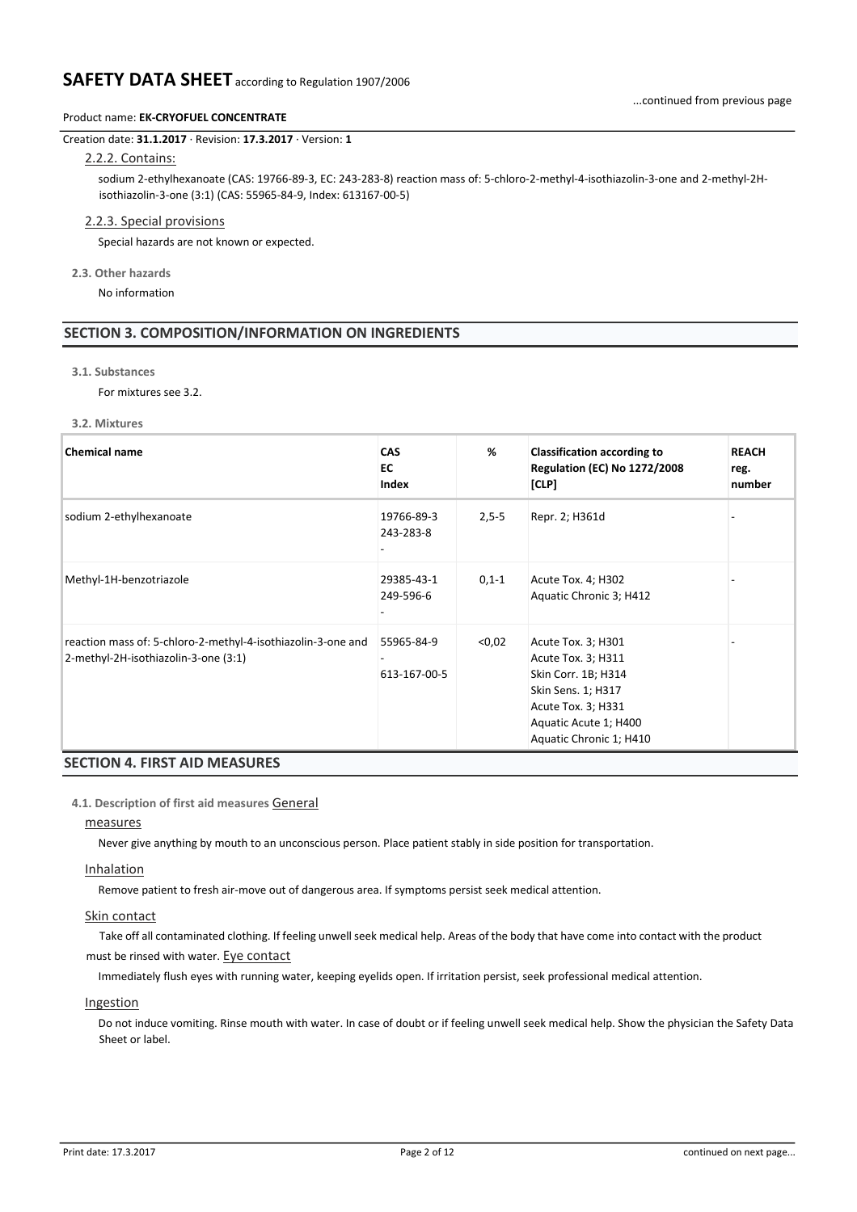### Product name: **EK-CRYOFUEL CONCENTRATE**

#### Creation date: **31.1.2017** · Revision: **17.3.2017** · Version: **1**

# 2.2.2. Contains:

sodium 2-ethylhexanoate (CAS: 19766-89-3, EC: 243-283-8) reaction mass of: 5-chloro-2-methyl-4-isothiazolin-3-one and 2-methyl-2Hisothiazolin-3-one (3:1) (CAS: 55965-84-9, Index: 613167-00-5)

#### 2.2.3. Special provisions

Special hazards are not known or expected.

**2.3. Other hazards**

No information

# **SECTION 3. COMPOSITION/INFORMATION ON INGREDIENTS**

**3.1. Substances**

For mixtures see 3.2.

#### **3.2. Mixtures**

| <b>Chemical name</b>                                                                                 | <b>CAS</b><br>EC<br>Index  | %          | <b>Classification according to</b><br><b>Regulation (EC) No 1272/2008</b><br>[CLP]                                                                              | <b>REACH</b><br>reg.<br>number |
|------------------------------------------------------------------------------------------------------|----------------------------|------------|-----------------------------------------------------------------------------------------------------------------------------------------------------------------|--------------------------------|
| sodium 2-ethylhexanoate                                                                              | 19766-89-3<br>243-283-8    | $2,5-5$    | Repr. 2; H361d                                                                                                                                                  |                                |
| Methyl-1H-benzotriazole                                                                              | 29385-43-1<br>249-596-6    | $0, 1 - 1$ | Acute Tox. 4; H302<br>Aquatic Chronic 3; H412                                                                                                                   |                                |
| reaction mass of: 5-chloro-2-methyl-4-isothiazolin-3-one and<br>2-methyl-2H-isothiazolin-3-one (3:1) | 55965-84-9<br>613-167-00-5 | < 0.02     | Acute Tox. 3; H301<br>Acute Tox. 3; H311<br>Skin Corr. 1B; H314<br>Skin Sens. 1; H317<br>Acute Tox. 3; H331<br>Aquatic Acute 1; H400<br>Aquatic Chronic 1; H410 |                                |

# **SECTION 4. FIRST AID MEASURES**

#### **4.1. Description of first aid measures** General

#### measures

Never give anything by mouth to an unconscious person. Place patient stably in side position for transportation.

#### Inhalation

Remove patient to fresh air-move out of dangerous area. If symptoms persist seek medical attention.

#### Skin contact

Take off all contaminated clothing. If feeling unwell seek medical help. Areas of the body that have come into contact with the product must be rinsed with water. Eye contact

Immediately flush eyes with running water, keeping eyelids open. If irritation persist, seek professional medical attention.

# Ingestion

Do not induce vomiting. Rinse mouth with water. In case of doubt or if feeling unwell seek medical help. Show the physician the Safety Data Sheet or label.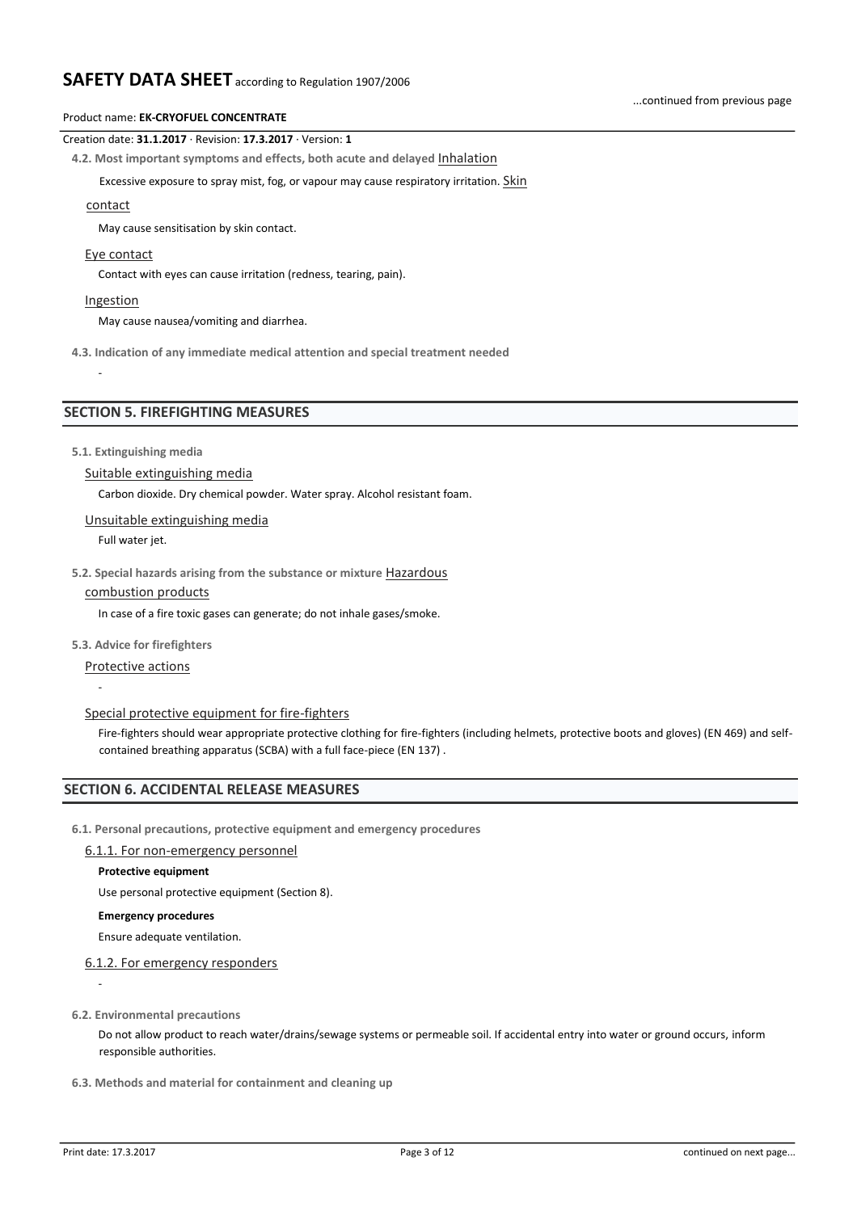## Product name: **EK-CRYOFUEL CONCENTRATE**

#### Creation date: **31.1.2017** · Revision: **17.3.2017** · Version: **1**

**4.2. Most important symptoms and effects, both acute and delayed** Inhalation

Excessive exposure to spray mist, fog, or vapour may cause respiratory irritation. Skin

#### contact

May cause sensitisation by skin contact.

#### Eye contact

Contact with eyes can cause irritation (redness, tearing, pain).

#### **Ingestion**

-

May cause nausea/vomiting and diarrhea.

**4.3. Indication of any immediate medical attention and special treatment needed**

# **SECTION 5. FIREFIGHTING MEASURES**

**5.1. Extinguishing media**

# Suitable extinguishing media

Carbon dioxide. Dry chemical powder. Water spray. Alcohol resistant foam.

#### Unsuitable extinguishing media

Full water jet.

**5.2. Special hazards arising from the substance or mixture** Hazardous

# combustion products

In case of a fire toxic gases can generate; do not inhale gases/smoke.

#### **5.3. Advice for firefighters**

Protective actions

-

#### Special protective equipment for fire-fighters

Fire-fighters should wear appropriate protective clothing for fire-fighters (including helmets, protective boots and gloves) (EN 469) and selfcontained breathing apparatus (SCBA) with a full face-piece (EN 137) .

# **SECTION 6. ACCIDENTAL RELEASE MEASURES**

**6.1. Personal precautions, protective equipment and emergency procedures**

#### 6.1.1. For non-emergency personnel

#### **Protective equipment**

Use personal protective equipment (Section 8).

#### **Emergency procedures**

Ensure adequate ventilation.

# 6.1.2. For emergency responders

-

# **6.2. Environmental precautions**

Do not allow product to reach water/drains/sewage systems or permeable soil. If accidental entry into water or ground occurs, inform responsible authorities.

# **6.3. Methods and material for containment and cleaning up**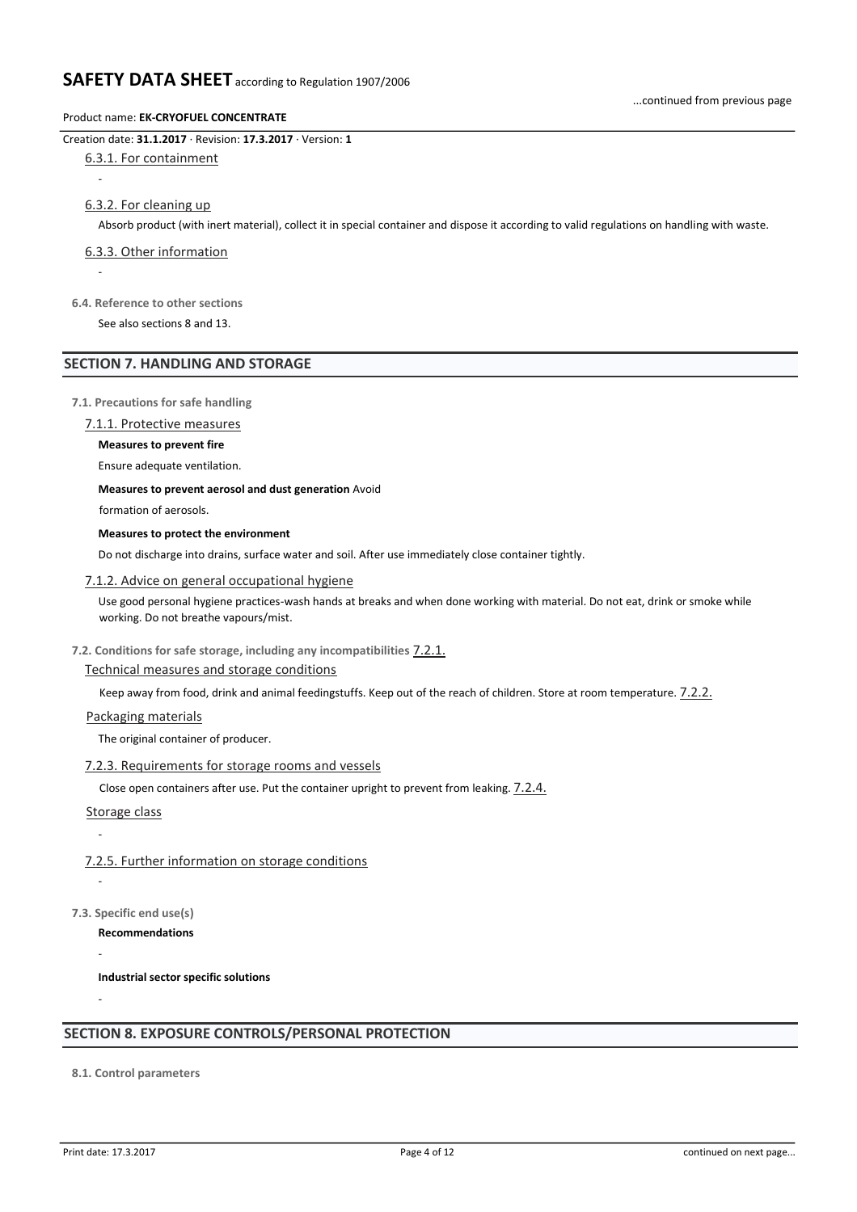### Product name: **EK-CRYOFUEL CONCENTRATE**

# Creation date: **31.1.2017** · Revision: **17.3.2017** · Version: **1**

# 6.3.1. For containment

-

# 6.3.2. For cleaning up

Absorb product (with inert material), collect it in special container and dispose it according to valid regulations on handling with waste.

# 6.3.3. Other information

-

# **6.4. Reference to other sections**

See also sections 8 and 13.

# **SECTION 7. HANDLING AND STORAGE**

# **7.1. Precautions for safe handling**

7.1.1. Protective measures

# **Measures to prevent fire**

Ensure adequate ventilation.

# **Measures to prevent aerosol and dust generation** Avoid

formation of aerosols.

# **Measures to protect the environment**

Do not discharge into drains, surface water and soil. After use immediately close container tightly.

# 7.1.2. Advice on general occupational hygiene

Use good personal hygiene practices-wash hands at breaks and when done working with material. Do not eat, drink or smoke while working. Do not breathe vapours/mist.

# **7.2. Conditions for safe storage, including any incompatibilities** 7.2.1.

# Technical measures and storage conditions

Keep away from food, drink and animal feedingstuffs. Keep out of the reach of children. Store at room temperature.  $7.2.2$ .

# Packaging materials

The original container of producer.

# 7.2.3. Requirements for storage rooms and vessels

Close open containers after use. Put the container upright to prevent from leaking. 7.2.4.

Storage class

-

-

-

-

# 7.2.5. Further information on storage conditions

**7.3. Specific end use(s)**

**Recommendations**

**Industrial sector specific solutions**

# **SECTION 8. EXPOSURE CONTROLS/PERSONAL PROTECTION**

**8.1. Control parameters**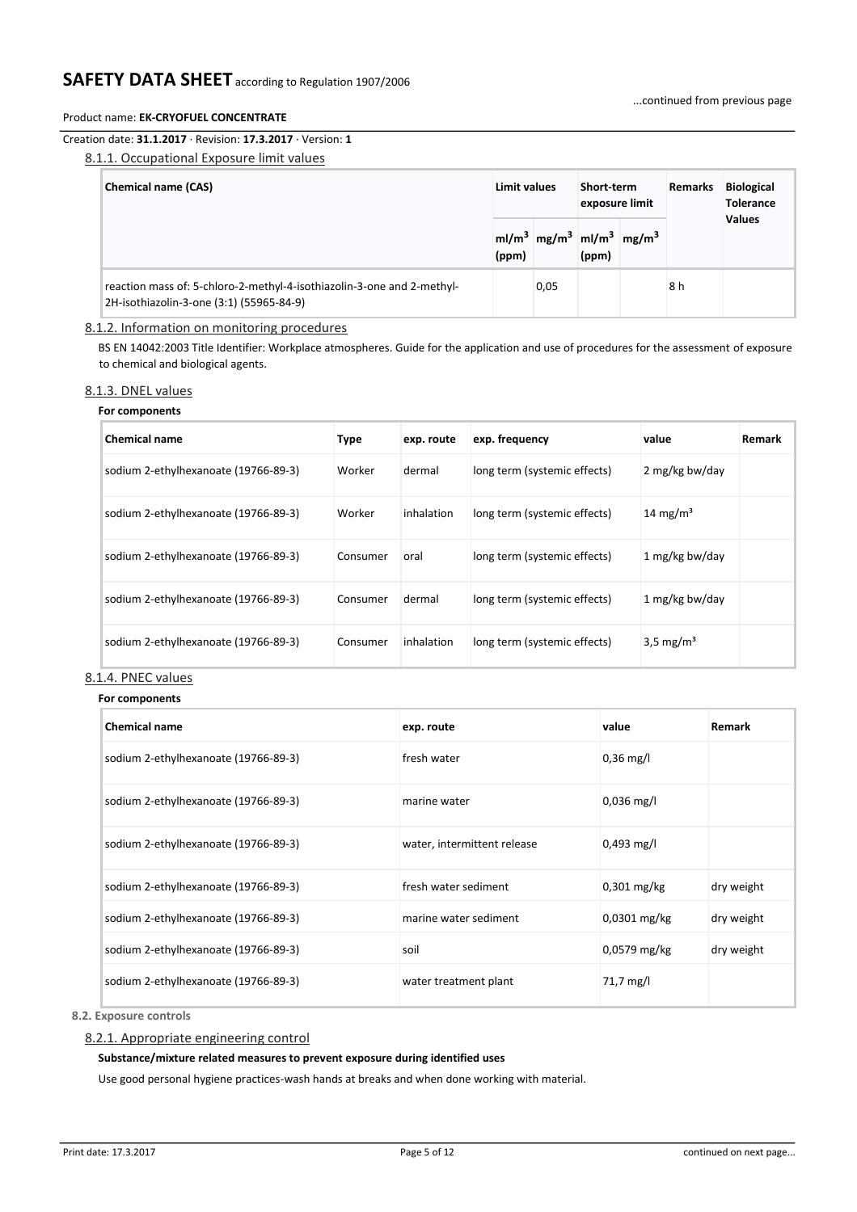# Creation date: **31.1.2017** · Revision: **17.3.2017** · Version: **1**

# 8.1.1. Occupational Exposure limit values

| <b>Chemical name (CAS)</b>                                                                                         | Limit values |                                                              | Short-term<br>exposure limit | <b>Remarks</b> | <b>Biological</b><br><b>Tolerance</b> |
|--------------------------------------------------------------------------------------------------------------------|--------------|--------------------------------------------------------------|------------------------------|----------------|---------------------------------------|
|                                                                                                                    | (ppm)        | $m/m3$ mg/m <sup>3</sup> ml/m <sup>3</sup> mg/m <sup>3</sup> | (ppm)                        |                | <b>Values</b>                         |
| reaction mass of: 5-chloro-2-methyl-4-isothiazolin-3-one and 2-methyl-<br>2H-isothiazolin-3-one (3:1) (55965-84-9) |              | 0,05                                                         |                              | 8 h            |                                       |

# 8.1.2. Information on monitoring procedures

BS EN 14042:2003 Title Identifier: Workplace atmospheres. Guide for the application and use of procedures for the assessment of exposure to chemical and biological agents.

#### 8.1.3. DNEL values

#### **For components**

| <b>Chemical name</b>                 | Type     | exp. route | exp. frequency               | value                 | <b>Remark</b> |
|--------------------------------------|----------|------------|------------------------------|-----------------------|---------------|
| sodium 2-ethylhexanoate (19766-89-3) | Worker   | dermal     | long term (systemic effects) | 2 mg/kg bw/day        |               |
| sodium 2-ethylhexanoate (19766-89-3) | Worker   | inhalation | long term (systemic effects) | 14 mg/m <sup>3</sup>  |               |
| sodium 2-ethylhexanoate (19766-89-3) | Consumer | oral       | long term (systemic effects) | 1 mg/kg bw/day        |               |
| sodium 2-ethylhexanoate (19766-89-3) | Consumer | dermal     | long term (systemic effects) | 1 mg/kg bw/day        |               |
| sodium 2-ethylhexanoate (19766-89-3) | Consumer | inhalation | long term (systemic effects) | 3,5 mg/m <sup>3</sup> |               |

### 8.1.4. PNEC values

#### **For components**

| <b>Chemical name</b>                 | exp. route                  | value          | Remark     |
|--------------------------------------|-----------------------------|----------------|------------|
| sodium 2-ethylhexanoate (19766-89-3) | fresh water                 | $0,36$ mg/l    |            |
| sodium 2-ethylhexanoate (19766-89-3) | marine water                | $0,036$ mg/l   |            |
| sodium 2-ethylhexanoate (19766-89-3) | water, intermittent release | $0,493$ mg/l   |            |
| sodium 2-ethylhexanoate (19766-89-3) | fresh water sediment        | $0,301$ mg/kg  | dry weight |
| sodium 2-ethylhexanoate (19766-89-3) | marine water sediment       | $0,0301$ mg/kg | dry weight |
| sodium 2-ethylhexanoate (19766-89-3) | soil                        | $0,0579$ mg/kg | dry weight |
| sodium 2-ethylhexanoate (19766-89-3) | water treatment plant       | 71,7 mg/l      |            |

**8.2. Exposure controls**

#### 8.2.1. Appropriate engineering control

#### **Substance/mixture related measures to prevent exposure during identified uses**

Use good personal hygiene practices-wash hands at breaks and when done working with material.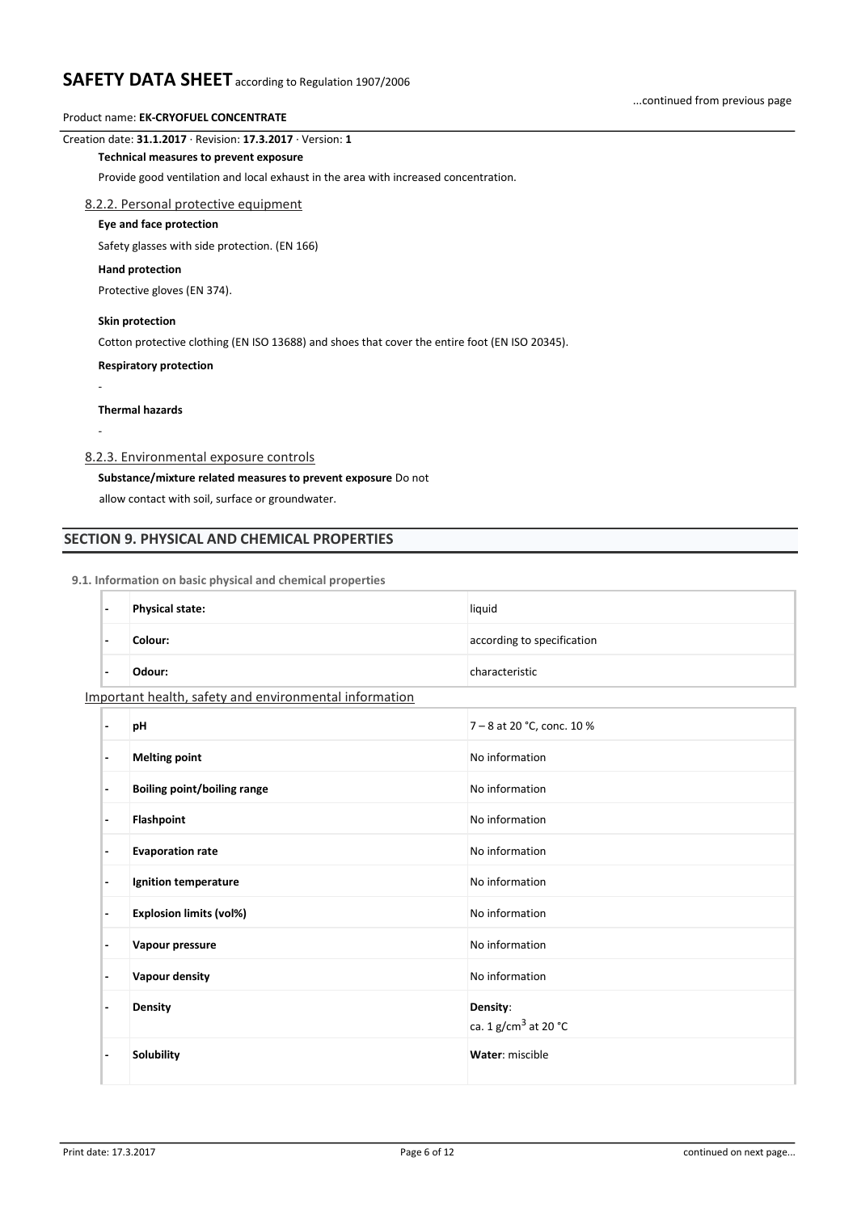# Product name: **EK-CRYOFUEL CONCENTRATE**

#### Creation date: **31.1.2017** · Revision: **17.3.2017** · Version: **1**

#### **Technical measures to prevent exposure**

Provide good ventilation and local exhaust in the area with increased concentration.

### 8.2.2. Personal protective equipment

#### **Eye and face protection**

Safety glasses with side protection. (EN 166)

#### **Hand protection**

Protective gloves (EN 374).

# **Skin protection**

Cotton protective clothing (EN ISO 13688) and shoes that cover the entire foot (EN ISO 20345).

#### **Respiratory protection**

# **Thermal hazards**

-

-

# 8.2.3. Environmental exposure controls

# **Substance/mixture related measures to prevent exposure** Do not

allow contact with soil, surface or groundwater.

# **SECTION 9. PHYSICAL AND CHEMICAL PROPERTIES**

#### **9.1. Information on basic physical and chemical properties**

| $\overline{\phantom{0}}$                               | <b>Physical state:</b> | liquid                     |  |  |  |
|--------------------------------------------------------|------------------------|----------------------------|--|--|--|
| $\overline{\phantom{0}}$                               | Colour:                | according to specification |  |  |  |
| $\overline{\phantom{0}}$                               | Odour:                 | characteristic             |  |  |  |
| Important health, safety and environmental information |                        |                            |  |  |  |

|                          | pH                                 | 7 - 8 at 20 °C, conc. 10 %         |
|--------------------------|------------------------------------|------------------------------------|
| $\overline{\phantom{a}}$ | <b>Melting point</b>               | No information                     |
| $\overline{\phantom{a}}$ | <b>Boiling point/boiling range</b> | No information                     |
| $\overline{\phantom{a}}$ | Flashpoint                         | No information                     |
| $\overline{\phantom{a}}$ | <b>Evaporation rate</b>            | No information                     |
| $\overline{\phantom{a}}$ | Ignition temperature               | No information                     |
| ٠                        | <b>Explosion limits (vol%)</b>     | No information                     |
| ٠                        | Vapour pressure                    | No information                     |
| ٠                        | Vapour density                     | No information                     |
|                          | <b>Density</b>                     | Density:<br>ca. 1 $g/cm3$ at 20 °C |
|                          | Solubility                         | Water: miscible                    |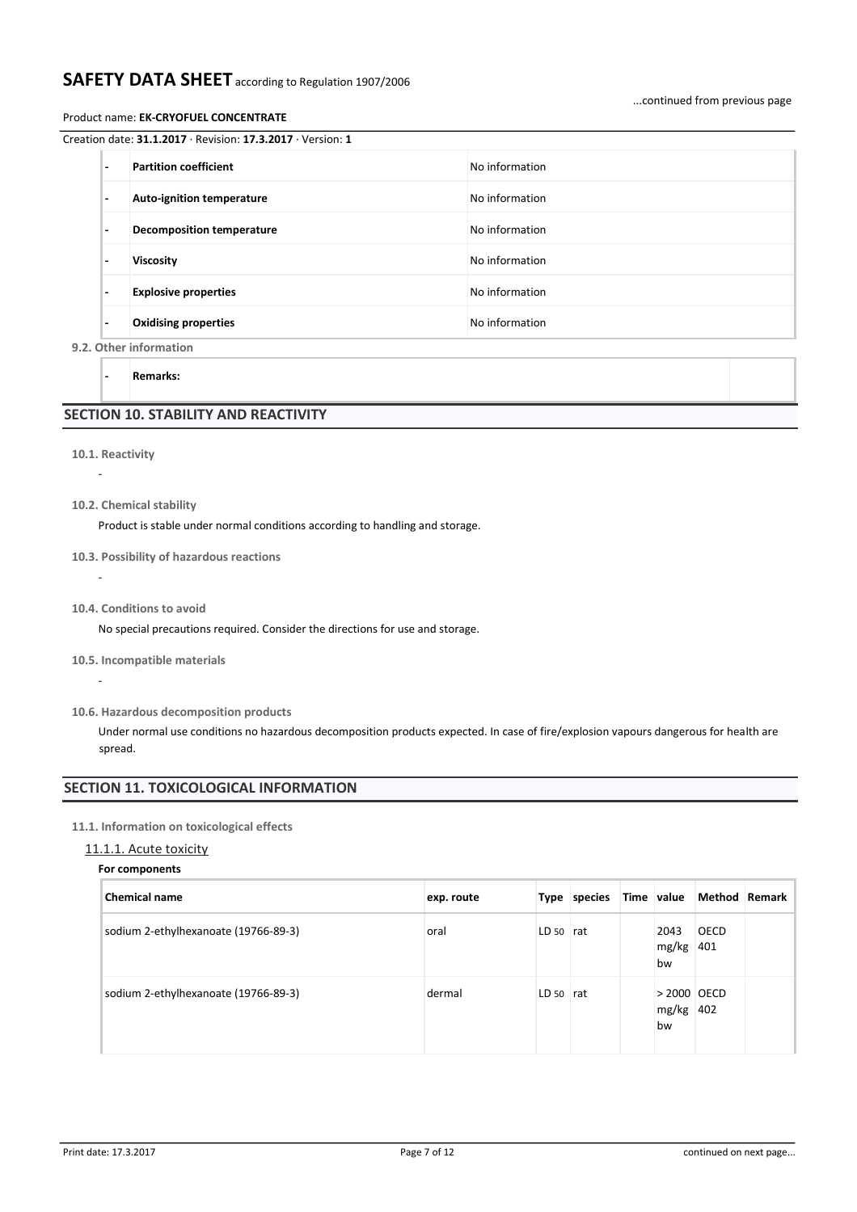#### Product name: **EK-CRYOFUEL CONCENTRATE**

| $\overline{\phantom{0}}$ | <b>Partition coefficient</b>     | No information |
|--------------------------|----------------------------------|----------------|
| $\overline{a}$           | <b>Auto-ignition temperature</b> | No information |
| $\overline{\phantom{a}}$ | <b>Decomposition temperature</b> | No information |
|                          | <b>Viscosity</b>                 | No information |
| $\overline{\phantom{0}}$ | <b>Explosive properties</b>      | No information |
| $\overline{\phantom{a}}$ | <b>Oxidising properties</b>      | No information |
|                          | 9.2. Other information           |                |

**- Remarks:**

# **SECTION 10. STABILITY AND REACTIVITY**

### **10.1. Reactivity**

-

-

-

- **10.2. Chemical stability**
	- Product is stable under normal conditions according to handling and storage.

#### **10.3. Possibility of hazardous reactions**

- **10.4. Conditions to avoid**
	- No special precautions required. Consider the directions for use and storage.
- **10.5. Incompatible materials**
- **10.6. Hazardous decomposition products**

Under normal use conditions no hazardous decomposition products expected. In case of fire/explosion vapours dangerous for health are spread.

# **SECTION 11. TOXICOLOGICAL INFORMATION**

#### **11.1. Information on toxicological effects**

# 11.1.1. Acute toxicity

| For components                       |            |             |              |            |                     |  |  |  |  |
|--------------------------------------|------------|-------------|--------------|------------|---------------------|--|--|--|--|
| <b>Chemical name</b>                 | exp. route |             | Type species | Time value |                     |  |  |  |  |
| sodium 2-ethylhexanoate (19766-89-3) | oral       | $LD 50$ rat |              |            | 2043<br>mg/kg<br>bw |  |  |  |  |

sodium 2-ethylhexanoate (19766-89-3) dermal dermal LD 50 rat

**Chemical name exp. route Type species Time value Method Remark**

mg/kg 401 bw

mg/kg 402bw

 $>$  2000 OECD

**OECD**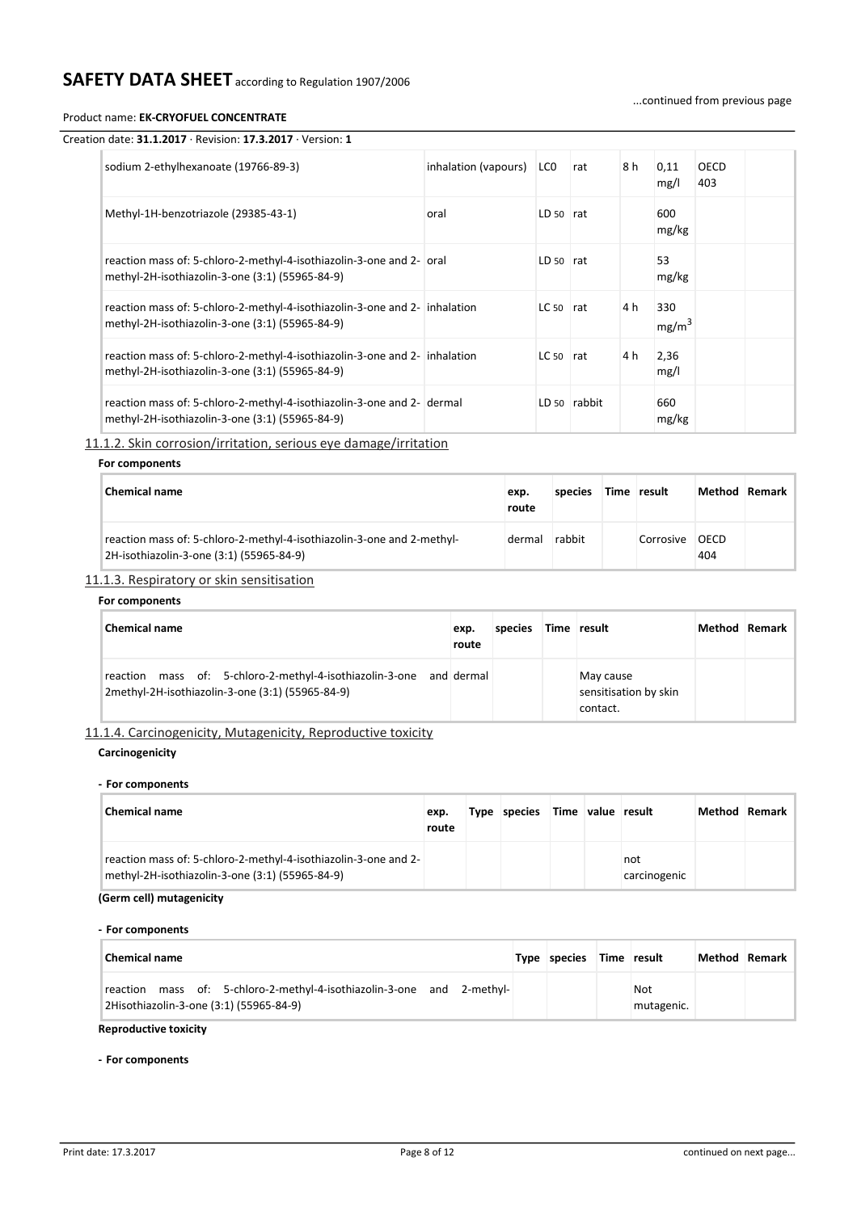...continued from previous page

#### Product name: **EK-CRYOFUEL CONCENTRATE**

| Creation date: $31.1.2017 \cdot$ Revision: 17.3.2017 $\cdot$ Version: 1                                                       |                      |                 |              |     |                          |                    |
|-------------------------------------------------------------------------------------------------------------------------------|----------------------|-----------------|--------------|-----|--------------------------|--------------------|
| sodium 2-ethylhexanoate (19766-89-3)                                                                                          | inhalation (vapours) | LC <sub>0</sub> | rat          | 8 h | 0,11<br>mg/l             | <b>OECD</b><br>403 |
| Methyl-1H-benzotriazole (29385-43-1)                                                                                          | oral                 | $LD_{50}$ rat   |              |     | 600<br>mg/kg             |                    |
| reaction mass of: 5-chloro-2-methyl-4-isothiazolin-3-one and 2- oral<br>methyl-2H-isothiazolin-3-one (3:1) (55965-84-9)       |                      | $LD 50$ rat     |              |     | 53<br>mg/kg              |                    |
| reaction mass of: 5-chloro-2-methyl-4-isothiazolin-3-one and 2- inhalation<br>methyl-2H-isothiazolin-3-one (3:1) (55965-84-9) |                      | $LC50$ rat      |              | 4 h | 330<br>mg/m <sup>3</sup> |                    |
| reaction mass of: 5-chloro-2-methyl-4-isothiazolin-3-one and 2- inhalation<br>methyl-2H-isothiazolin-3-one (3:1) (55965-84-9) |                      | $LC50$ rat      |              | 4 h | 2,36<br>mg/l             |                    |
| reaction mass of: 5-chloro-2-methyl-4-isothiazolin-3-one and 2- dermal<br>methyl-2H-isothiazolin-3-one (3:1) (55965-84-9)     |                      |                 | LD 50 rabbit |     | 660<br>mg/kg             |                    |

11.1.2. Skin corrosion/irritation, serious eye damage/irritation

# **For components**

| <b>Chemical name</b>                                                                                               | exp.<br>route | species | Time result |                    | Method Remark |
|--------------------------------------------------------------------------------------------------------------------|---------------|---------|-------------|--------------------|---------------|
| reaction mass of: 5-chloro-2-methyl-4-isothiazolin-3-one and 2-methyl-<br>2H-isothiazolin-3-one (3:1) (55965-84-9) | dermal        | rabbit  | Corrosive   | <b>OECD</b><br>404 |               |

# 11.1.3. Respiratory or skin sensitisation

# **For components**

| <b>Chemical name</b>                                                                                                    | exp.<br>route | species | Time result                                    | Method Remark |  |
|-------------------------------------------------------------------------------------------------------------------------|---------------|---------|------------------------------------------------|---------------|--|
| reaction mass of: 5-chloro-2-methyl-4-isothiazolin-3-one and dermal<br>2methyl-2H-isothiazolin-3-one (3:1) (55965-84-9) |               |         | May cause<br>sensitisation by skin<br>contact. |               |  |

# 11.1.4. Carcinogenicity, Mutagenicity, Reproductive toxicity

# **Carcinogenicity**

#### **- For components**

| <b>Chemical name</b>                                                                                               | exp.<br>route | Type species Time value result |  |                     | Method | <b>Remark</b> |
|--------------------------------------------------------------------------------------------------------------------|---------------|--------------------------------|--|---------------------|--------|---------------|
| reaction mass of: 5-chloro-2-methyl-4-isothiazolin-3-one and 2-<br>methyl-2H-isothiazolin-3-one (3:1) (55965-84-9) |               |                                |  | not<br>carcinogenic |        |               |

# **(Germ cell) mutagenicity**

#### **- For components**

| Chemical name                                                                                                        | Type species | Time result       | Method Remark |
|----------------------------------------------------------------------------------------------------------------------|--------------|-------------------|---------------|
| mass of: 5-chloro-2-methyl-4-isothiazolin-3-one and 2-methyl-<br>reaction<br>2Hisothiazolin-3-one (3:1) (55965-84-9) |              | Not<br>mutagenic. |               |

### **Reproductive toxicity**

### **- For components**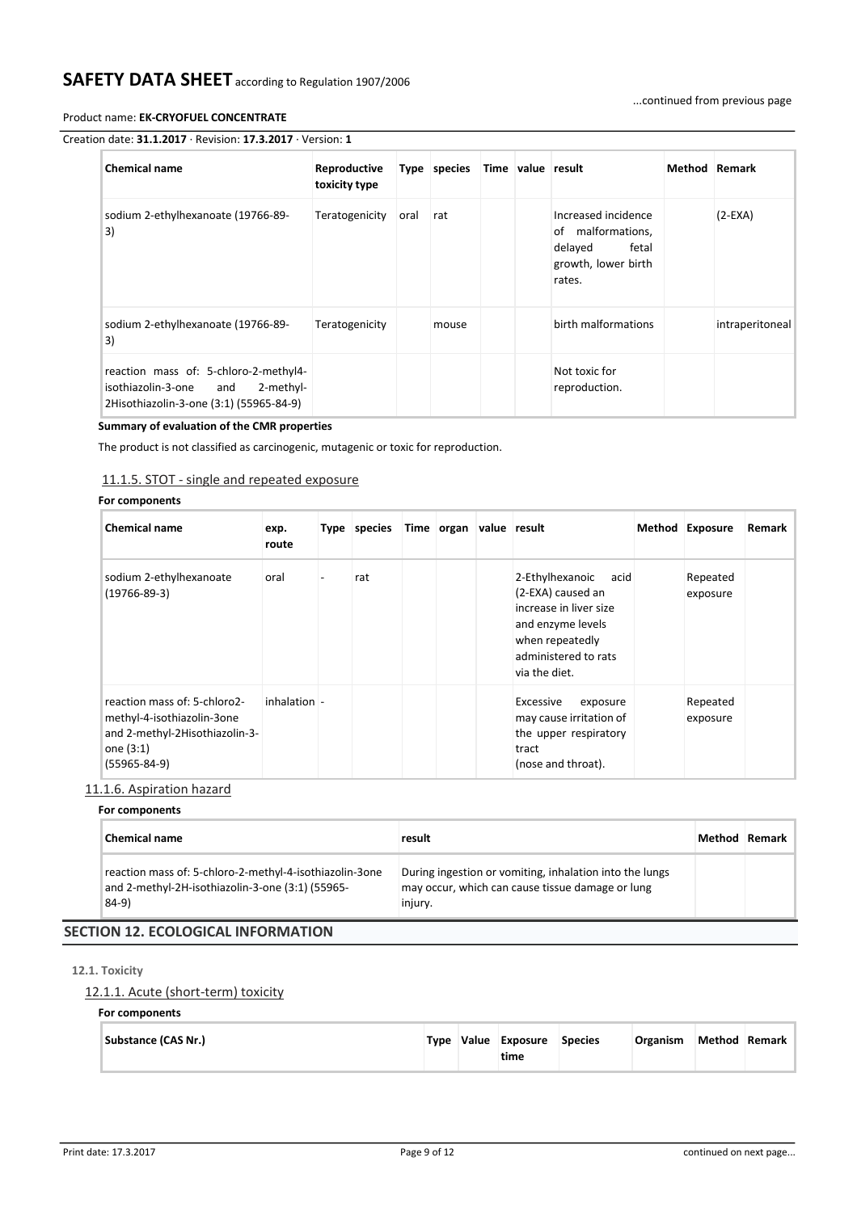...continued from previous page

### Product name: **EK-CRYOFUEL CONCENTRATE**

# Creation date: **31.1.2017** · Revision: **17.3.2017** · Version: **1**

| <b>Chemical name</b>                                                                                                    | Reproductive<br>toxicity type |      | Type species |  | Time value result                                                                             | <b>Method</b> Remark |                 |
|-------------------------------------------------------------------------------------------------------------------------|-------------------------------|------|--------------|--|-----------------------------------------------------------------------------------------------|----------------------|-----------------|
| sodium 2-ethylhexanoate (19766-89-<br>3)                                                                                | Teratogenicity                | oral | rat          |  | Increased incidence<br>of malformations,<br>delayed<br>fetal<br>growth, lower birth<br>rates. |                      | $(2-EXA)$       |
| sodium 2-ethylhexanoate (19766-89-<br>3)                                                                                | Teratogenicity                |      | mouse        |  | birth malformations                                                                           |                      | intraperitoneal |
| reaction mass of: 5-chloro-2-methyl4-<br>2-methyl-<br>isothiazolin-3-one and<br>2Hisothiazolin-3-one (3:1) (55965-84-9) |                               |      |              |  | Not toxic for<br>reproduction.                                                                |                      |                 |

### **Summary of evaluation of the CMR properties**

The product is not classified as carcinogenic, mutagenic or toxic for reproduction.

# 11.1.5. STOT - single and repeated exposure

# **For components**

| <b>Chemical name</b>                                                                                                            | exp.<br>route  | Type species | Time organ value result |                                                                                                                                                      | Method Exposure      | Remark |
|---------------------------------------------------------------------------------------------------------------------------------|----------------|--------------|-------------------------|------------------------------------------------------------------------------------------------------------------------------------------------------|----------------------|--------|
| sodium 2-ethylhexanoate<br>$(19766 - 89 - 3)$                                                                                   | oral           | rat          |                         | 2-Ethylhexanoic acid<br>(2-EXA) caused an<br>increase in liver size<br>and enzyme levels<br>when repeatedly<br>administered to rats<br>via the diet. | Repeated<br>exposure |        |
| reaction mass of: 5-chloro2-<br>methyl-4-isothiazolin-3one<br>and 2-methyl-2Hisothiazolin-3-<br>one (3:1)<br>$(55965 - 84 - 9)$ | $inhalation$ - |              |                         | Excessive<br>exposure<br>may cause irritation of<br>the upper respiratory<br>tract<br>(nose and throat).                                             | Repeated<br>exposure |        |

# 11.1.6. Aspiration hazard

# **For components**

| <b>Chemical name</b>                                                                                                 | result                                                                                                                 | Method Remark I |
|----------------------------------------------------------------------------------------------------------------------|------------------------------------------------------------------------------------------------------------------------|-----------------|
| reaction mass of: 5-chloro-2-methyl-4-isothiazolin-3one<br>and 2-methyl-2H-isothiazolin-3-one (3:1) (55965-<br>84-9) | During ingestion or vomiting, inhalation into the lungs<br>may occur, which can cause tissue damage or lung<br>injury. |                 |
| <b>SECTION 12. ECOLOGICAL INFORMATION</b>                                                                            |                                                                                                                        |                 |

# **12.1. Toxicity**

# 12.1.1. Acute (short-term) toxicity

### **For components**

| Substance (CAS Nr.) |  |  | Type Value Exposure<br>time | <b>Species</b> | Organism |  | Method Remark |
|---------------------|--|--|-----------------------------|----------------|----------|--|---------------|
|---------------------|--|--|-----------------------------|----------------|----------|--|---------------|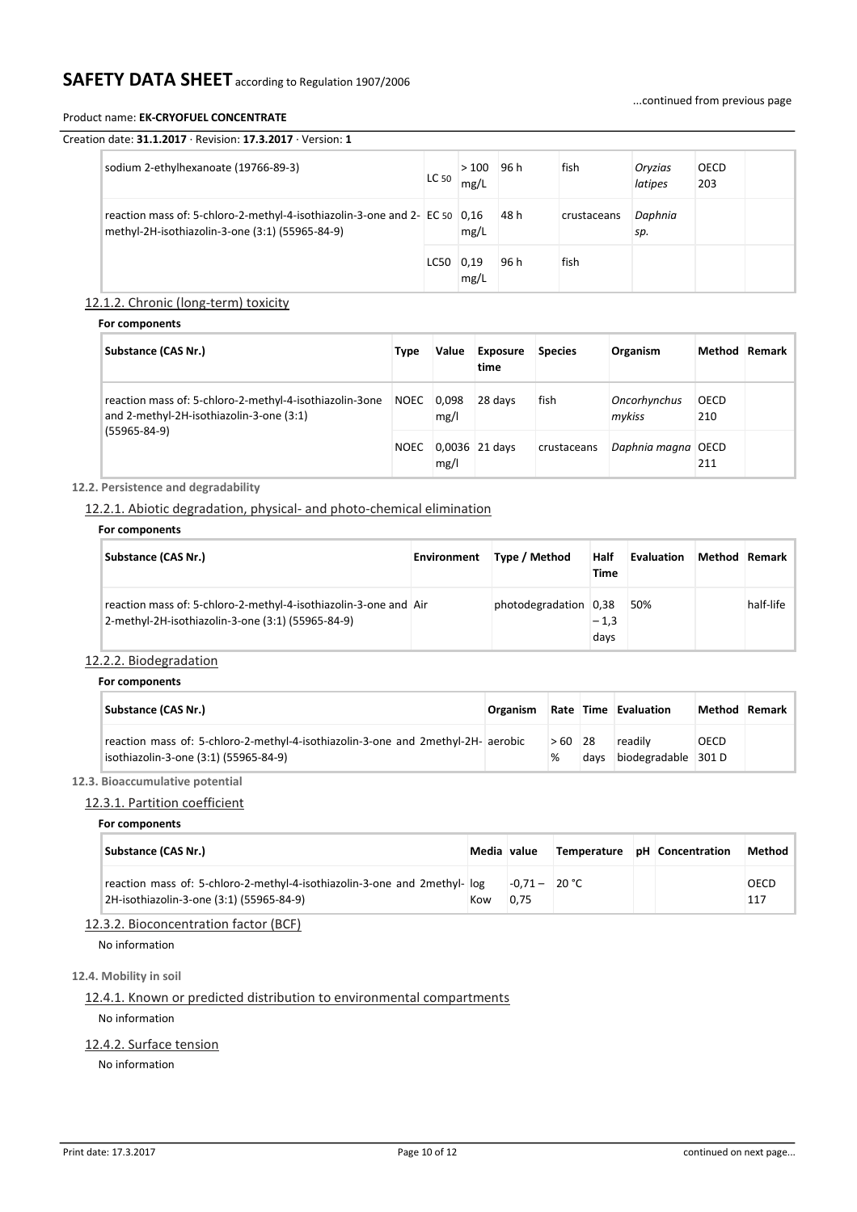### Product name: **EK-CRYOFUEL CONCENTRATE**

OECD 203

| Creation date: $31.1.2017 \cdot$ Revision: $17.3.2017 \cdot$ Version: 1 |       |              |      |      |                    |
|-------------------------------------------------------------------------|-------|--------------|------|------|--------------------|
| sodium 2-ethylhexanoate (19766-89-3)                                    | LC 50 | >100<br>mg/L | 96 h | fish | Orvzias<br>latipes |

|                                                                                                                               | LC 50       | mg/L |      |             | latipes        | 203 |
|-------------------------------------------------------------------------------------------------------------------------------|-------------|------|------|-------------|----------------|-----|
| reaction mass of: 5-chloro-2-methyl-4-isothiazolin-3-one and 2- EC 50 0.16<br>methyl-2H-isothiazolin-3-one (3:1) (55965-84-9) |             | mg/L | 48 h | crustaceans | Daphnia<br>sp. |     |
|                                                                                                                               | $LC50$ 0,19 | mg/L | 96 h | fish        |                |     |

# 12.1.2. Chronic (long-term) toxicity

# **For components**

| Substance (CAS Nr.)                                                                                 | Type        | Value         | <b>Exposure</b><br>time | <b>Species</b> | Organism               |                    | Method Remark |
|-----------------------------------------------------------------------------------------------------|-------------|---------------|-------------------------|----------------|------------------------|--------------------|---------------|
| reaction mass of: 5-chloro-2-methyl-4-isothiazolin-3one<br>and 2-methyl-2H-isothiazolin-3-one (3:1) | <b>NOEC</b> | 0.098<br>mg/l | 28 days                 | fish           | Oncorhynchus<br>mvkiss | <b>OECD</b><br>210 |               |
| $(55965 - 84 - 9)$<br><b>NOEC</b>                                                                   |             | mg/l          | $0.0036$ 21 days        | crustaceans    | Daphnia magna OECD     | 211                |               |

# **12.2. Persistence and degradability**

# 12.2.1. Abiotic degradation, physical- and photo-chemical elimination

### **For components**

| Substance (CAS Nr.)                                                                                                   | Environment | Type / Method         | Half<br>Time   | Evaluation | Method Remark |
|-----------------------------------------------------------------------------------------------------------------------|-------------|-----------------------|----------------|------------|---------------|
| reaction mass of: 5-chloro-2-methyl-4-isothiazolin-3-one and Air<br>2-methyl-2H-isothiazolin-3-one (3:1) (55965-84-9) |             | photodegradation 0.38 | $-1,3$<br>days | 50%        | half-life     |

# 12.2.2. Biodegradation

| For components |
|----------------|
|                |

| Substance (CAS Nr.)                                                                                                       | <b>Organism</b> |          |      | Rate Time Evaluation           | Method Remark |  |
|---------------------------------------------------------------------------------------------------------------------------|-----------------|----------|------|--------------------------------|---------------|--|
| reaction mass of: 5-chloro-2-methyl-4-isothiazolin-3-one and 2methyl-2H- aerobic<br>isothiazolin-3-one (3:1) (55965-84-9) |                 | $>60$ 28 | davs | readily<br>biodegradable 301 D | <b>OECD</b>   |  |

# **12.3. Bioaccumulative potential**

# 12.3.1. Partition coefficient

#### **For components**

| Substance (CAS Nr.)                                                                                                    | Media value |                         | Temperature pH Concentration |  | Method      |
|------------------------------------------------------------------------------------------------------------------------|-------------|-------------------------|------------------------------|--|-------------|
| reaction mass of: 5-chloro-2-methyl-4-isothiazolin-3-one and 2 methyl- log<br>2H-isothiazolin-3-one (3:1) (55965-84-9) | Kow         | $-0.71 - 20$ °C<br>0.75 |                              |  | OECD<br>117 |

# 12.3.2. Bioconcentration factor (BCF)

No information

# **12.4. Mobility in soil**

# 12.4.1. Known or predicted distribution to environmental compartments

No information

# 12.4.2. Surface tension

No information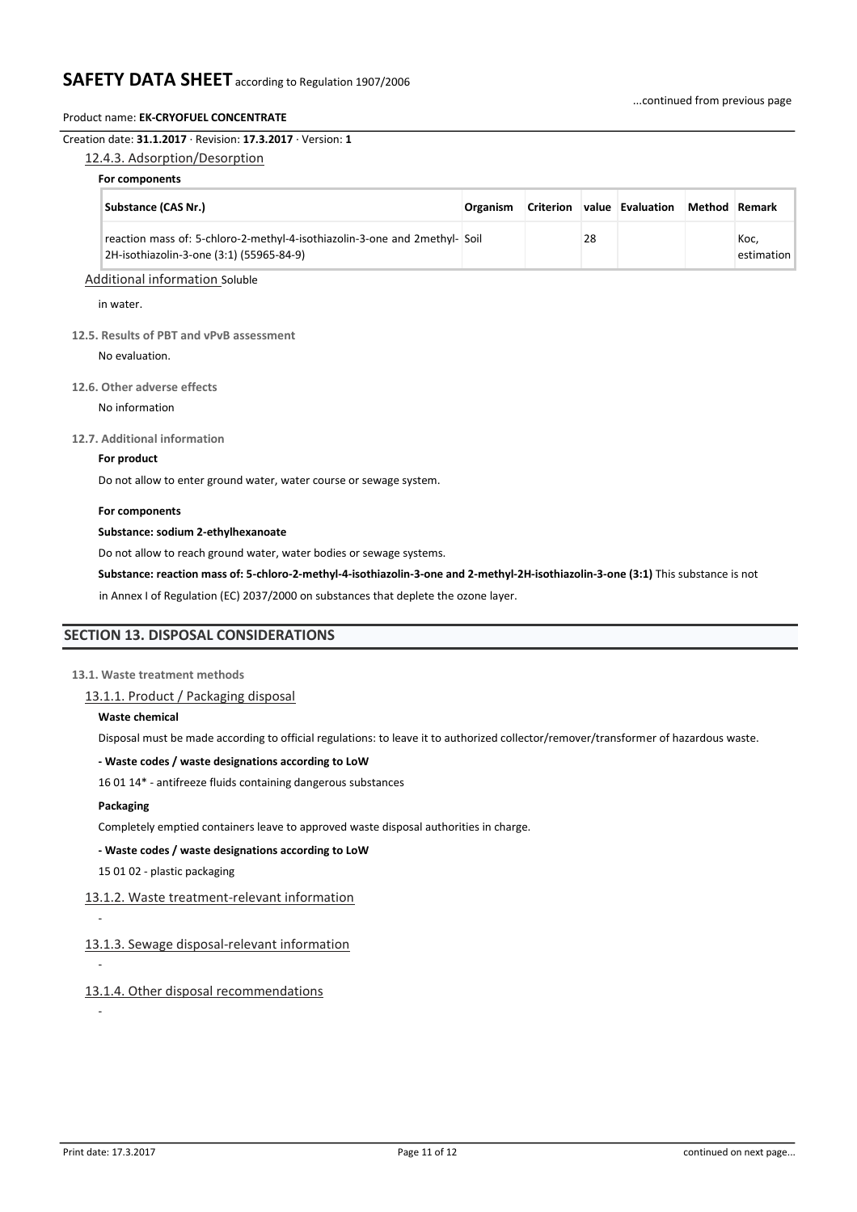#### Creation date: **31.1.2017** · Revision: **17.3.2017** · Version: **1**

#### 12.4.3. Adsorption/Desorption

#### **For components**

| <b>Substance (CAS Nr.)</b>                                                                                             | <b>Organism</b> |    | Criterion value Evaluation | Method Remark |                    |
|------------------------------------------------------------------------------------------------------------------------|-----------------|----|----------------------------|---------------|--------------------|
| reaction mass of: 5-chloro-2-methyl-4-isothiazolin-3-one and 2methyl- Soil<br>2H-isothiazolin-3-one (3:1) (55965-84-9) |                 | 28 |                            |               | Koc.<br>estimation |

### Additional information Soluble

in water.

#### **12.5. Results of PBT and vPvB assessment**

No evaluation.

#### **12.6. Other adverse effects**

No information

#### **12.7. Additional information**

#### **For product**

Do not allow to enter ground water, water course or sewage system.

#### **For components**

#### **Substance: sodium 2-ethylhexanoate**

Do not allow to reach ground water, water bodies or sewage systems.

**Substance: reaction mass of: 5-chloro-2-methyl-4-isothiazolin-3-one and 2-methyl-2H-isothiazolin-3-one (3:1)** This substance is not

in Annex I of Regulation (EC) 2037/2000 on substances that deplete the ozone layer.

# **SECTION 13. DISPOSAL CONSIDERATIONS**

#### **13.1. Waste treatment methods**

13.1.1. Product / Packaging disposal

#### **Waste chemical**

Disposal must be made according to official regulations: to leave it to authorized collector/remover/transformer of hazardous waste.

#### **- Waste codes / waste designations according to LoW**

16 01 14\* - antifreeze fluids containing dangerous substances

#### **Packaging**

-

-

-

Completely emptied containers leave to approved waste disposal authorities in charge.

#### **- Waste codes / waste designations according to LoW**

15 01 02 - plastic packaging

# 13.1.2. Waste treatment-relevant information

13.1.3. Sewage disposal-relevant information

13.1.4. Other disposal recommendations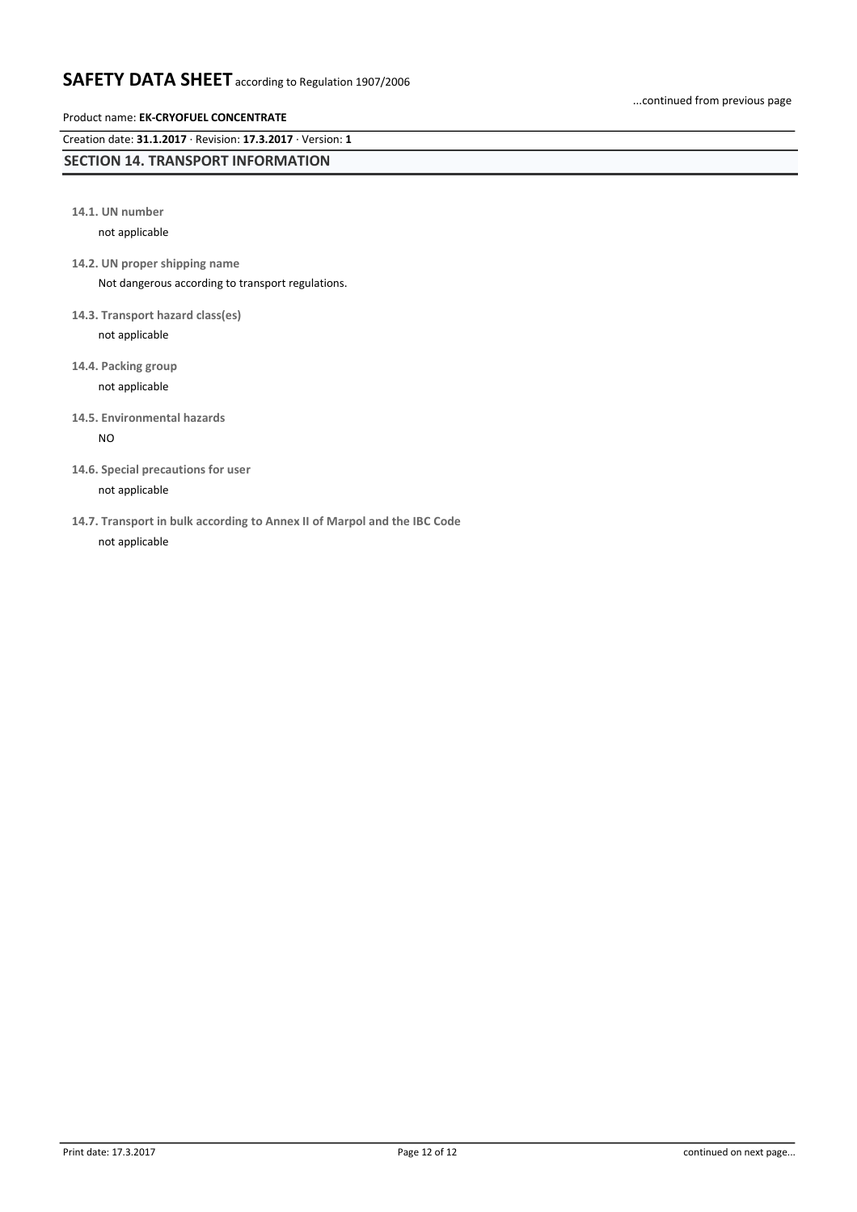# Product name: **EK-CRYOFUEL CONCENTRATE**

Creation date: **31.1.2017** · Revision: **17.3.2017** · Version: **1**

# **SECTION 14. TRANSPORT INFORMATION**

**14.1. UN number**

not applicable

**14.2. UN proper shipping name**

Not dangerous according to transport regulations.

- **14.3. Transport hazard class(es)** not applicable
- **14.4. Packing group** not applicable
- **14.5. Environmental hazards**

NO

**14.6. Special precautions for user**

not applicable

**14.7. Transport in bulk according to Annex II of Marpol and the IBC Code** not applicable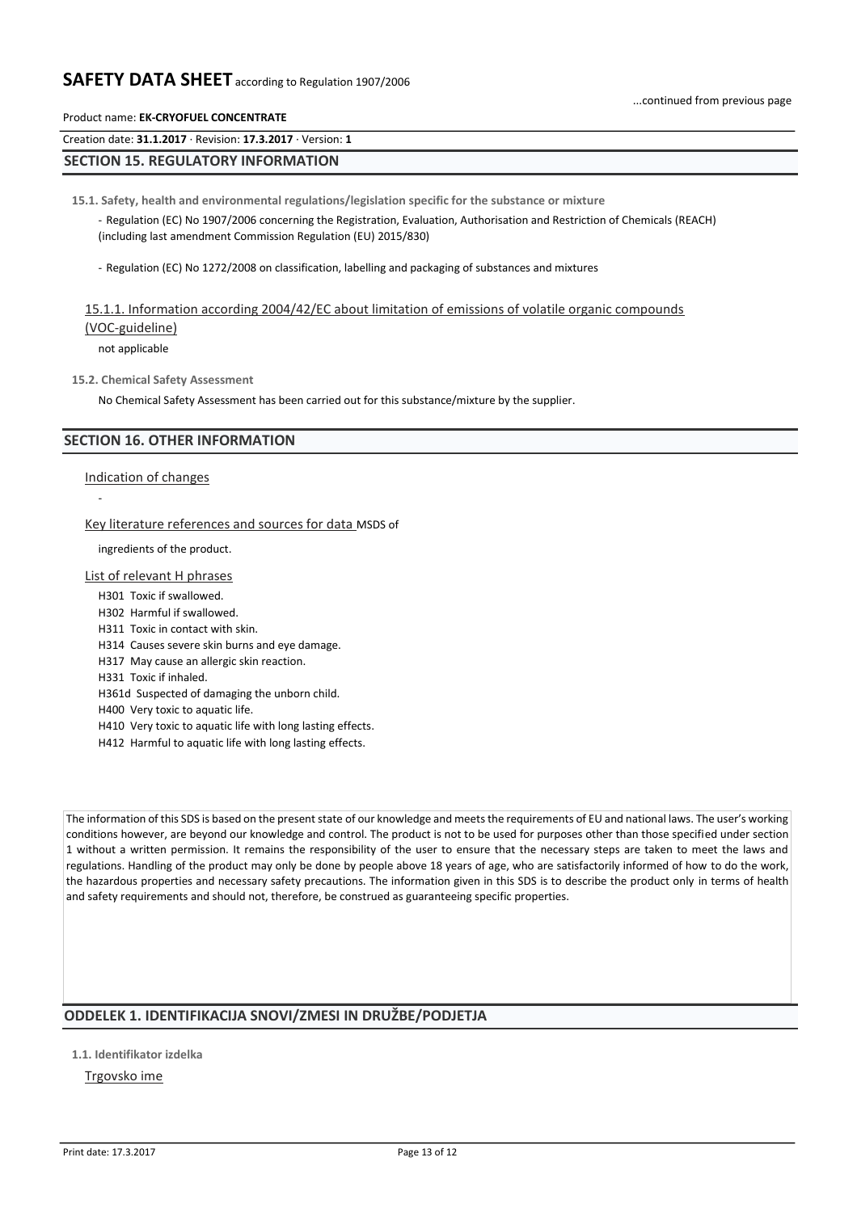...continued from previous page

# Product name: **EK-CRYOFUEL CONCENTRATE**

Creation date: **31.1.2017** · Revision: **17.3.2017** · Version: **1**

# **SECTION 15. REGULATORY INFORMATION**

**15.1. Safety, health and environmental regulations/legislation specific for the substance or mixture**

- Regulation (EC) No 1907/2006 concerning the Registration, Evaluation, Authorisation and Restriction of Chemicals (REACH) (including last amendment Commission Regulation (EU) 2015/830)

- Regulation (EC) No 1272/2008 on classification, labelling and packaging of substances and mixtures

# 15.1.1. Information according 2004/42/EC about limitation of emissions of volatile organic compounds (VOC-guideline)

not applicable

#### **15.2. Chemical Safety Assessment**

No Chemical Safety Assessment has been carried out for this substance/mixture by the supplier.

# **SECTION 16. OTHER INFORMATION**

Indication of changes

-

#### Key literature references and sources for data MSDS of

ingredients of the product.

#### List of relevant H phrases

- H301 Toxic if swallowed.
- H302 Harmful if swallowed.
- H311 Toxic in contact with skin.
- H314 Causes severe skin burns and eye damage.
- H317 May cause an allergic skin reaction.
- H331 Toxic if inhaled.
- H361d Suspected of damaging the unborn child.
- H400 Very toxic to aquatic life.
- H410 Very toxic to aquatic life with long lasting effects.
- H412 Harmful to aquatic life with long lasting effects.

The information of this SDS is based on the present state of our knowledge and meets the requirements of EU and national laws. The user's working conditions however, are beyond our knowledge and control. The product is not to be used for purposes other than those specified under section 1 without a written permission. It remains the responsibility of the user to ensure that the necessary steps are taken to meet the laws and regulations. Handling of the product may only be done by people above 18 years of age, who are satisfactorily informed of how to do the work, the hazardous properties and necessary safety precautions. The information given in this SDS is to describe the product only in terms of health and safety requirements and should not, therefore, be construed as guaranteeing specific properties.

# **ODDELEK 1. IDENTIFIKACIJA SNOVI/ZMESI IN DRUŽBE/PODJETJA**

**1.1. Identifikator izdelka**

# Trgovsko ime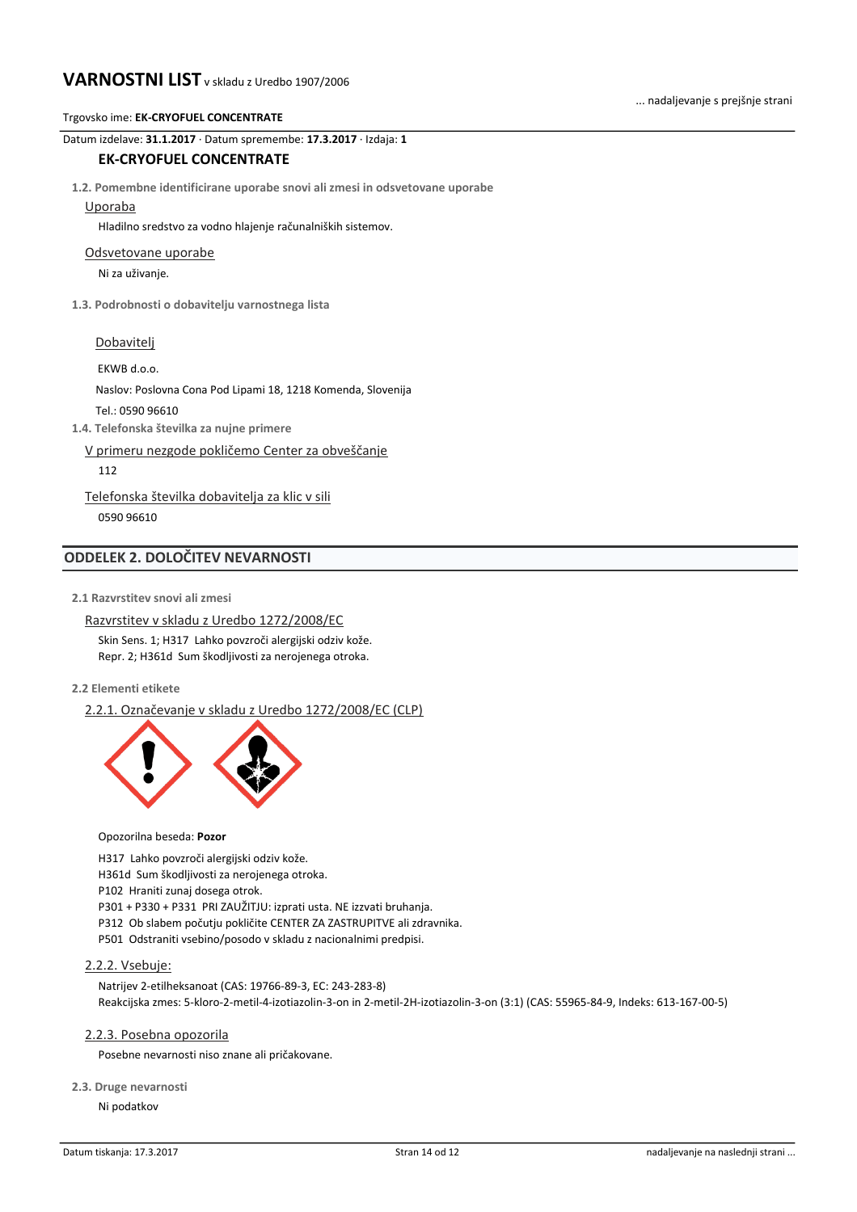... nadaljevanje s prejšnje strani

Datum izdelave: **31.1.2017** · Datum spremembe: **17.3.2017** · Izdaja: **1**

# **EK-CRYOFUEL CONCENTRATE**

**1.2. Pomembne identificirane uporabe snovi ali zmesi in odsvetovane uporabe**

### Uporaba

Hladilno sredstvo za vodno hlajenje računalniških sistemov.

#### Odsvetovane uporabe

Ni za uživanje.

**1.3. Podrobnosti o dobavitelju varnostnega lista**

# Dobavitelj

EKWB d.o.o.

Naslov: Poslovna Cona Pod Lipami 18, 1218 Komenda, Slovenija

Tel.: 0590 96610

**1.4. Telefonska številka za nujne primere**

V primeru nezgode pokličemo Center za obveščanje

112

Telefonska številka dobavitelja za klic v sili 0590 96610

# **ODDELEK 2. DOLOČITEV NEVARNOSTI**

**2.1 Razvrstitev snovi ali zmesi**

Razvrstitev v skladu z Uredbo 1272/2008/EC Skin Sens. 1; H317 Lahko povzroči alergijski odziv kože. Repr. 2; H361d Sum škodljivosti za nerojenega otroka.

**2.2 Elementi etikete**

2.2.1. Označevanje v skladu z Uredbo 1272/2008/EC (CLP)



#### Opozorilna beseda: **Pozor**

H317 Lahko povzroči alergijski odziv kože.

H361d Sum škodljivosti za nerojenega otroka.

P102 Hraniti zunaj dosega otrok.

P301 + P330 + P331 PRI ZAUŽITJU: izprati usta. NE izzvati bruhanja.

P312 Ob slabem počutju pokličite CENTER ZA ZASTRUPITVE ali zdravnika.

P501 Odstraniti vsebino/posodo v skladu z nacionalnimi predpisi.

# 2.2.2. Vsebuje:

Natrijev 2-etilheksanoat (CAS: 19766-89-3, EC: 243-283-8) Reakcijska zmes: 5-kloro-2-metil-4-izotiazolin-3-on in 2-metil-2H-izotiazolin-3-on (3:1) (CAS: 55965-84-9, Indeks: 613-167-00-5)

# 2.2.3. Posebna opozorila

Posebne nevarnosti niso znane ali pričakovane.

#### **2.3. Druge nevarnosti**

Ni podatkov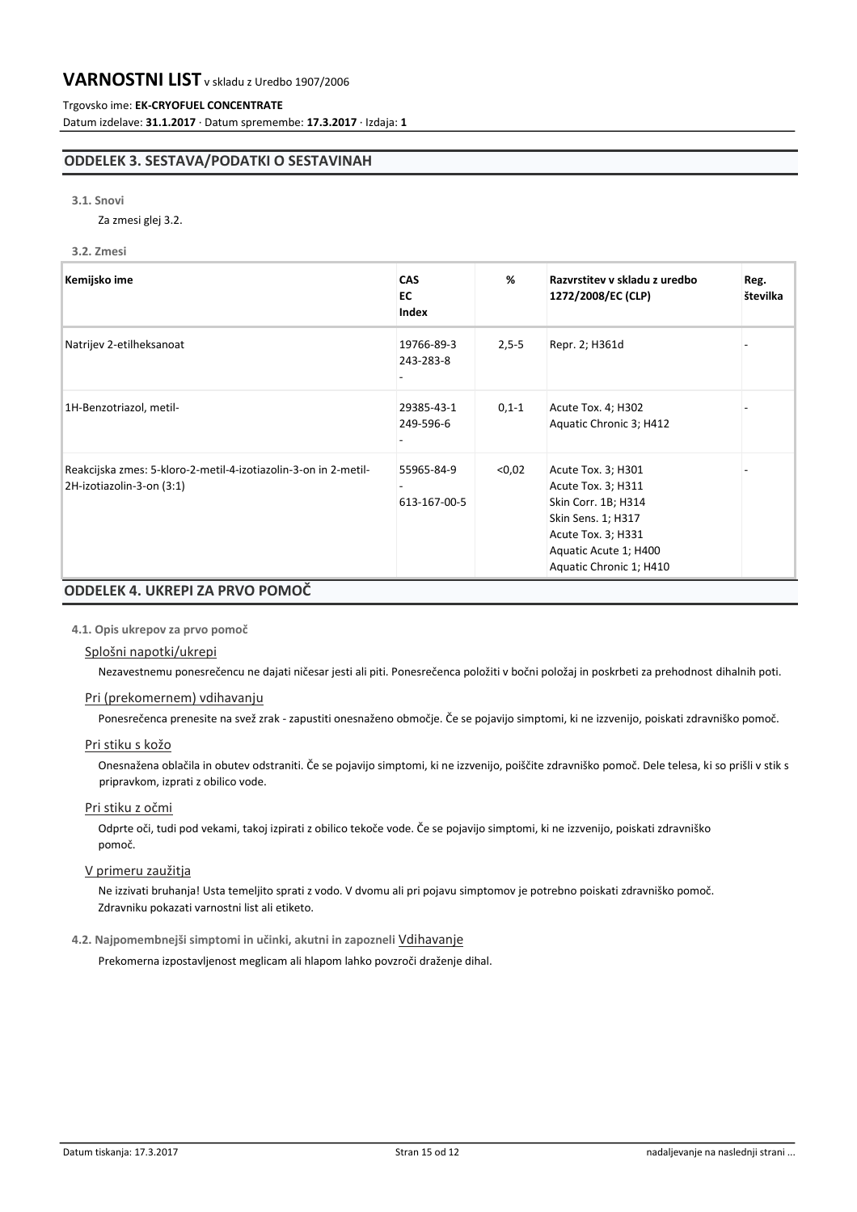# Trgovsko ime: **EK-CRYOFUEL CONCENTRATE**

Datum izdelave: **31.1.2017** · Datum spremembe: **17.3.2017** · Izdaja: **1**

# **ODDELEK 3. SESTAVA/PODATKI O SESTAVINAH**

#### **3.1. Snovi**

Za zmesi glej 3.2.

#### **3.2. Zmesi**

| Kemijsko ime                                                                                 | <b>CAS</b><br>EC<br>Index  | %       | Razvrstitev v skladu z uredbo<br>1272/2008/EC (CLP)                                                                                                             | Reg.<br>številka |
|----------------------------------------------------------------------------------------------|----------------------------|---------|-----------------------------------------------------------------------------------------------------------------------------------------------------------------|------------------|
| Natrijev 2-etilheksanoat                                                                     | 19766-89-3<br>243-283-8    | $2,5-5$ | Repr. 2; H361d                                                                                                                                                  |                  |
| 1H-Benzotriazol, metil-                                                                      | 29385-43-1<br>249-596-6    | $0,1-1$ | Acute Tox. 4; H302<br>Aquatic Chronic 3; H412                                                                                                                   |                  |
| Reakcijska zmes: 5-kloro-2-metil-4-izotiazolin-3-on in 2-metil-<br>2H-izotiazolin-3-on (3:1) | 55965-84-9<br>613-167-00-5 | < 0.02  | Acute Tox. 3; H301<br>Acute Tox. 3; H311<br>Skin Corr. 1B; H314<br>Skin Sens. 1; H317<br>Acute Tox. 3; H331<br>Aquatic Acute 1; H400<br>Aquatic Chronic 1; H410 |                  |

# **4.1. Opis ukrepov za prvo pomoč**

# Splošni napotki/ukrepi

Nezavestnemu ponesrečencu ne dajati ničesar jesti ali piti. Ponesrečenca položiti v bočni položaj in poskrbeti za prehodnost dihalnih poti.

# Pri (prekomernem) vdihavanju

Ponesrečenca prenesite na svež zrak - zapustiti onesnaženo območje. Če se pojavijo simptomi, ki ne izzvenijo, poiskati zdravniško pomoč.

# Pri stiku s kožo

Onesnažena oblačila in obutev odstraniti. Če se pojavijo simptomi, ki ne izzvenijo, poiščite zdravniško pomoč. Dele telesa, ki so prišli v stik s pripravkom, izprati z obilico vode.

# Pri stiku z očmi

Odprte oči, tudi pod vekami, takoj izpirati z obilico tekoče vode. Če se pojavijo simptomi, ki ne izzvenijo, poiskati zdravniško pomoč.

# V primeru zaužitja

Ne izzivati bruhanja! Usta temeljito sprati z vodo. V dvomu ali pri pojavu simptomov je potrebno poiskati zdravniško pomoč. Zdravniku pokazati varnostni list ali etiketo.

### **4.2. Najpomembnejši simptomi in učinki, akutni in zapozneli** Vdihavanje

Prekomerna izpostavljenost meglicam ali hlapom lahko povzroči draženje dihal.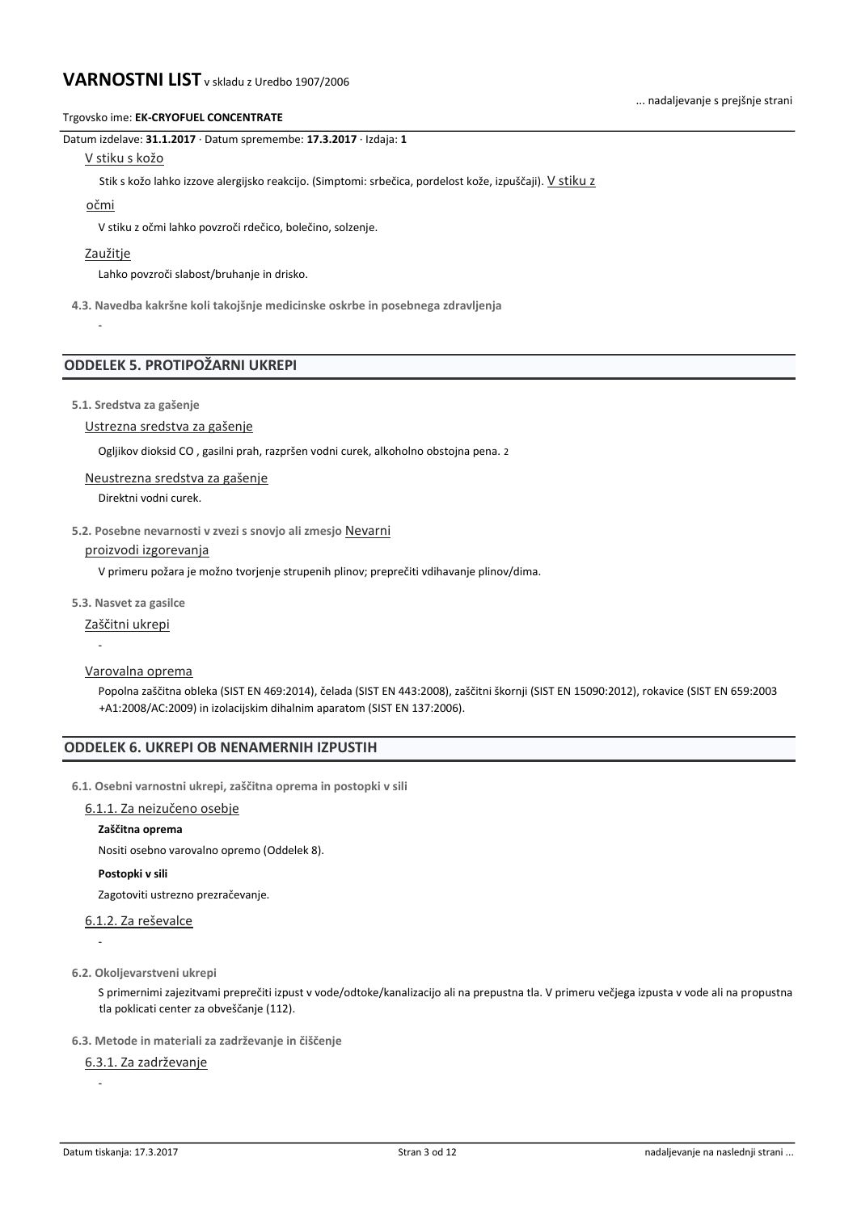#### Trgovsko ime: **EK-CRYOFUEL CONCENTRATE**

Datum izdelave: **31.1.2017** · Datum spremembe: **17.3.2017** · Izdaja: **1**

#### V stiku s kožo

Stik s kožo lahko izzove alergijsko reakcijo. (Simptomi: srbečica, pordelost kože, izpuščaji). V stiku z

#### očmi

V stiku z očmi lahko povzroči rdečico, bolečino, solzenje.

### Zaužitje

-

Lahko povzroči slabost/bruhanje in drisko.

**4.3. Navedba kakršne koli takojšnje medicinske oskrbe in posebnega zdravljenja**

# **ODDELEK 5. PROTIPOŽARNI UKREPI**

#### **5.1. Sredstva za gašenje**

# Ustrezna sredstva za gašenje

Ogljikov dioksid CO , gasilni prah, razpršen vodni curek, alkoholno obstojna pena. 2

Neustrezna sredstva za gašenje

Direktni vodni curek.

# **5.2. Posebne nevarnosti v zvezi s snovjo ali zmesjo** Nevarni

#### proizvodi izgorevanja

V primeru požara je možno tvorjenje strupenih plinov; preprečiti vdihavanje plinov/dima.

**5.3. Nasvet za gasilce**

Zaščitni ukrepi

-

Varovalna oprema

Popolna zaščitna obleka (SIST EN 469:2014), čelada (SIST EN 443:2008), zaščitni škornji (SIST EN 15090:2012), rokavice (SIST EN 659:2003 +A1:2008/AC:2009) in izolacijskim dihalnim aparatom (SIST EN 137:2006).

# **ODDELEK 6. UKREPI OB NENAMERNIH IZPUSTIH**

**6.1. Osebni varnostni ukrepi, zaščitna oprema in postopki v sili**

#### 6.1.1. Za neizučeno osebje

#### **Zaščitna oprema**

Nositi osebno varovalno opremo (Oddelek 8).

### **Postopki v sili**

Zagotoviti ustrezno prezračevanje.

# 6.1.2. Za reševalce

-

-

**6.2. Okoljevarstveni ukrepi**

S primernimi zajezitvami preprečiti izpust v vode/odtoke/kanalizacijo ali na prepustna tla. V primeru večjega izpusta v vode ali na propustna tla poklicati center za obveščanje (112).

**6.3. Metode in materiali za zadrževanje in čiščenje**

6.3.1. Za zadrževanje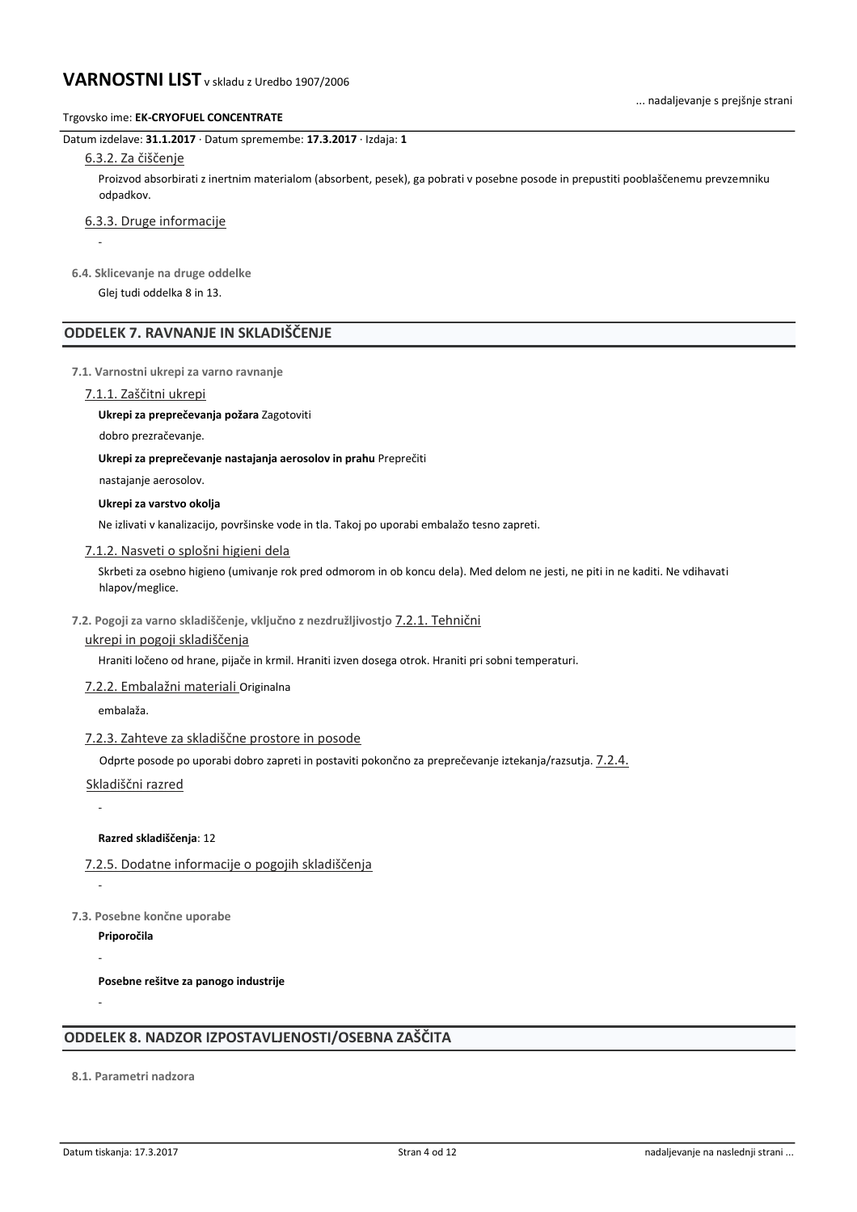#### Trgovsko ime: **EK-CRYOFUEL CONCENTRATE**

Datum izdelave: **31.1.2017** · Datum spremembe: **17.3.2017** · Izdaja: **1**

# 6.3.2. Za čiščenje

-

Proizvod absorbirati z inertnim materialom (absorbent, pesek), ga pobrati v posebne posode in prepustiti pooblaščenemu prevzemniku odpadkov.

6.3.3. Druge informacije

**6.4. Sklicevanje na druge oddelke**

Glej tudi oddelka 8 in 13.

# **ODDELEK 7. RAVNANJE IN SKLADIŠČENJE**

**7.1. Varnostni ukrepi za varno ravnanje**

#### 7.1.1. Zaščitni ukrepi

**Ukrepi za preprečevanja požara** Zagotoviti

dobro prezračevanje.

**Ukrepi za preprečevanje nastajanja aerosolov in prahu** Preprečiti

nastajanje aerosolov.

**Ukrepi za varstvo okolja**

Ne izlivati v kanalizacijo, površinske vode in tla. Takoj po uporabi embalažo tesno zapreti.

#### 7.1.2. Nasveti o splošni higieni dela

Skrbeti za osebno higieno (umivanje rok pred odmorom in ob koncu dela). Med delom ne jesti, ne piti in ne kaditi. Ne vdihavati hlapov/meglice.

# **7.2. Pogoji za varno skladiščenje, vključno z nezdružljivostjo** 7.2.1. Tehnični

### ukrepi in pogoji skladiščenja

Hraniti ločeno od hrane, pijače in krmil. Hraniti izven dosega otrok. Hraniti pri sobni temperaturi.

#### 7.2.2. Embalažni materiali Originalna

embalaža.

#### 7.2.3. Zahteve za skladiščne prostore in posode

Odprte posode po uporabi dobro zapreti in postaviti pokončno za preprečevanje iztekanja/razsutja. 7.2.4.

Skladiščni razred

-

-

-

-

**Razred skladiščenja**: 12

7.2.5. Dodatne informacije o pogojih skladiščenja

**7.3. Posebne končne uporabe**

**Priporočila**

**Posebne rešitve za panogo industrije**

# **ODDELEK 8. NADZOR IZPOSTAVLJENOSTI/OSEBNA ZAŠČITA**

**8.1. Parametri nadzora**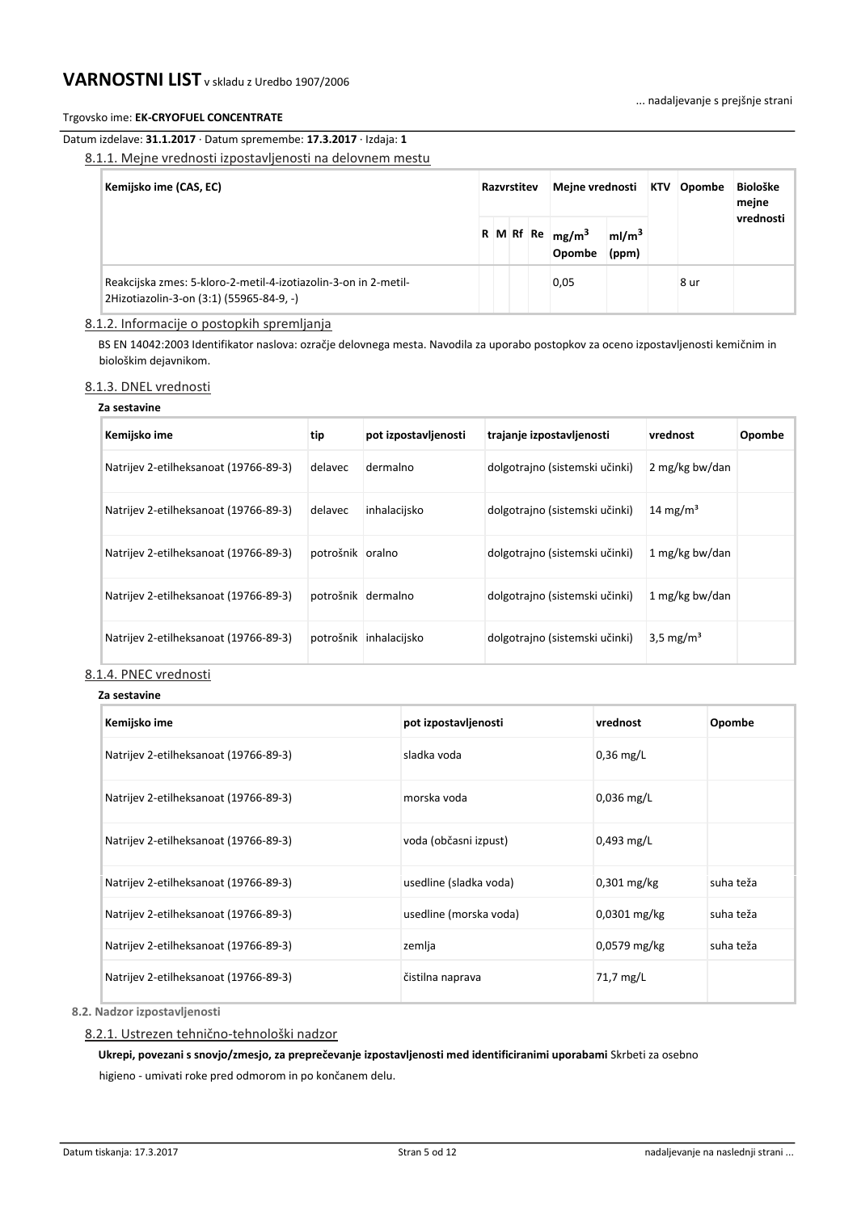# Trgovsko ime: **EK-CRYOFUEL CONCENTRATE**

# Datum izdelave: **31.1.2017** · Datum spremembe: **17.3.2017** · Izdaja: **1**

8.1.1. Mejne vrednosti izpostavljenosti na delovnem mestu

| Kemijsko ime (CAS, EC)                                                                                      |  | Razvrstitev |  |  | Mejne vrednosti KTV          |                            | Opombe | <b>Biološke</b><br>mejne |
|-------------------------------------------------------------------------------------------------------------|--|-------------|--|--|------------------------------|----------------------------|--------|--------------------------|
|                                                                                                             |  |             |  |  | R M Rf Re $mg/m^3$<br>Opombe | ml/m <sup>3</sup><br>(ppm) |        | vrednosti                |
| Reakcijska zmes: 5-kloro-2-metil-4-izotiazolin-3-on in 2-metil-<br>2Hizotiazolin-3-on (3:1) (55965-84-9, -) |  |             |  |  | 0,05                         |                            | 8 ur   |                          |

# 8.1.2. Informacije o postopkih spremljanja

BS EN 14042:2003 Identifikator naslova: ozračje delovnega mesta. Navodila za uporabo postopkov za oceno izpostavljenosti kemičnim in biološkim dejavnikom.

# 8.1.3. DNEL vrednosti

#### **Za sestavine**

| Kemijsko ime                          | tip              | pot izpostavljenosti | trajanje izpostavljenosti      | vrednost              | Opombe |
|---------------------------------------|------------------|----------------------|--------------------------------|-----------------------|--------|
| Natrijev 2-etilheksanoat (19766-89-3) | delavec          | dermalno             | dolgotrajno (sistemski učinki) | 2 mg/kg bw/dan        |        |
| Natrijev 2-etilheksanoat (19766-89-3) | delavec          | inhalacijsko         | dolgotrajno (sistemski učinki) | 14 mg/m <sup>3</sup>  |        |
| Natrijev 2-etilheksanoat (19766-89-3) | potrošnik oralno |                      | dolgotrajno (sistemski učinki) | 1 mg/kg bw/dan        |        |
| Natrijev 2-etilheksanoat (19766-89-3) |                  | potrošnik dermalno   | dolgotrajno (sistemski učinki) | 1 mg/kg bw/dan        |        |
| Natrijev 2-etilheksanoat (19766-89-3) | potrošnik        | inhalacijsko         | dolgotrajno (sistemski učinki) | 3.5 mg/m <sup>3</sup> |        |

# 8.1.4. PNEC vrednosti

**Za sestavine**

| да эсэцаүнгс                          |                        |               |           |
|---------------------------------------|------------------------|---------------|-----------|
| Kemijsko ime                          | pot izpostavljenosti   | vrednost      | Opombe    |
| Natrijev 2-etilheksanoat (19766-89-3) | sladka voda            | $0.36$ mg/L   |           |
| Natrijev 2-etilheksanoat (19766-89-3) | morska voda            | $0.036$ mg/L  |           |
| Natrijev 2-etilheksanoat (19766-89-3) | voda (občasni izpust)  | $0,493$ mg/L  |           |
| Natrijev 2-etilheksanoat (19766-89-3) | usedline (sladka voda) | $0.301$ mg/kg | suha teža |
| Natrijev 2-etilheksanoat (19766-89-3) | usedline (morska voda) | 0,0301 mg/kg  | suha teža |
| Natrijev 2-etilheksanoat (19766-89-3) | zemlja                 | 0,0579 mg/kg  | suha teža |
| Natrijev 2-etilheksanoat (19766-89-3) | čistilna naprava       | 71,7 mg/L     |           |

**8.2. Nadzor izpostavljenosti**

# 8.2.1. Ustrezen tehnično-tehnološki nadzor

**Ukrepi, povezani s snovjo/zmesjo, za preprečevanje izpostavljenosti med identificiranimi uporabami** Skrbeti za osebno higieno - umivati roke pred odmorom in po končanem delu.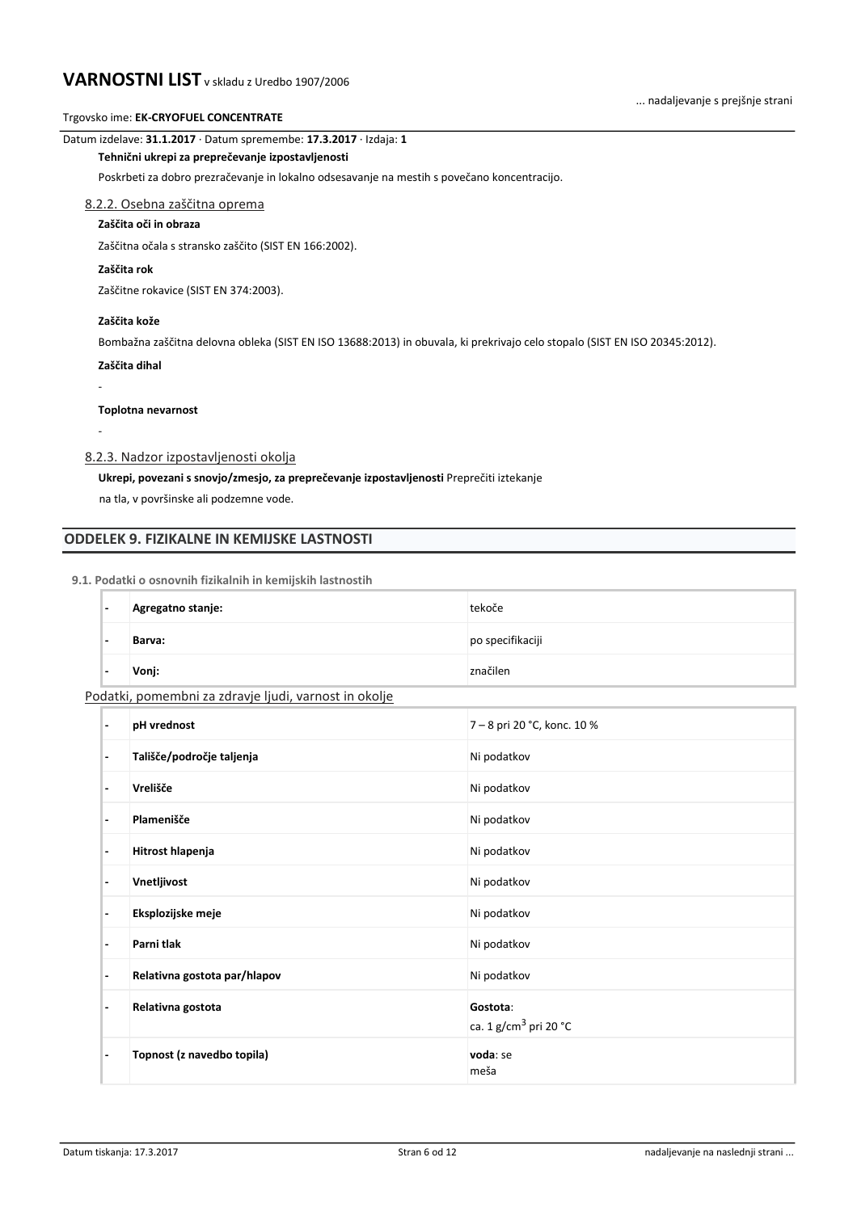# Trgovsko ime: **EK-CRYOFUEL CONCENTRATE**

# Datum izdelave: **31.1.2017** · Datum spremembe: **17.3.2017** · Izdaja: **1**

#### **Tehnični ukrepi za preprečevanje izpostavljenosti**

Poskrbeti za dobro prezračevanje in lokalno odsesavanje na mestih s povečano koncentracijo.

# 8.2.2. Osebna zaščitna oprema

# **Zaščita oči in obraza**

Zaščitna očala s stransko zaščito (SIST EN 166:2002).

# **Zaščita rok**

Zaščitne rokavice (SIST EN 374:2003).

### **Zaščita kože**

Bombažna zaščitna delovna obleka (SIST EN ISO 13688:2013) in obuvala, ki prekrivajo celo stopalo (SIST EN ISO 20345:2012).

### **Zaščita dihal**

-

-

**Toplotna nevarnost**

# 8.2.3. Nadzor izpostavljenosti okolja

# **Ukrepi, povezani s snovjo/zmesjo, za preprečevanje izpostavljenosti** Preprečiti iztekanje

na tla, v površinske ali podzemne vode.

# **ODDELEK 9. FIZIKALNE IN KEMIJSKE LASTNOSTI**

#### **9.1. Podatki o osnovnih fizikalnih in kemijskih lastnostih**

| ı.  | Agregatno stanje: | tekoče           |
|-----|-------------------|------------------|
| . . | Barva:            | po specifikaciji |
| . . | Vonj:             | značilen         |

# Podatki, pomembni za zdravje ljudi, varnost in okolje

| $\overline{\phantom{a}}$ | pH vrednost                  | 7 - 8 pri 20 °C, konc. 10 %                   |
|--------------------------|------------------------------|-----------------------------------------------|
| $\overline{\phantom{a}}$ | Tališče/področje taljenja    | Ni podatkov                                   |
| $\overline{\phantom{a}}$ | Vrelišče                     | Ni podatkov                                   |
| $\overline{\phantom{a}}$ | Plamenišče                   | Ni podatkov                                   |
| $\overline{\phantom{a}}$ | Hitrost hlapenja             | Ni podatkov                                   |
| $\overline{\phantom{a}}$ | Vnetljivost                  | Ni podatkov                                   |
| $\overline{a}$           | Eksplozijske meje            | Ni podatkov                                   |
| $\overline{\phantom{a}}$ | Parni tlak                   | Ni podatkov                                   |
| $\overline{\phantom{a}}$ | Relativna gostota par/hlapov | Ni podatkov                                   |
| ٠                        | Relativna gostota            | Gostota:<br>ca. 1 g/cm <sup>3</sup> pri 20 °C |
| ٠                        | Topnost (z navedbo topila)   | voda: se<br>meša                              |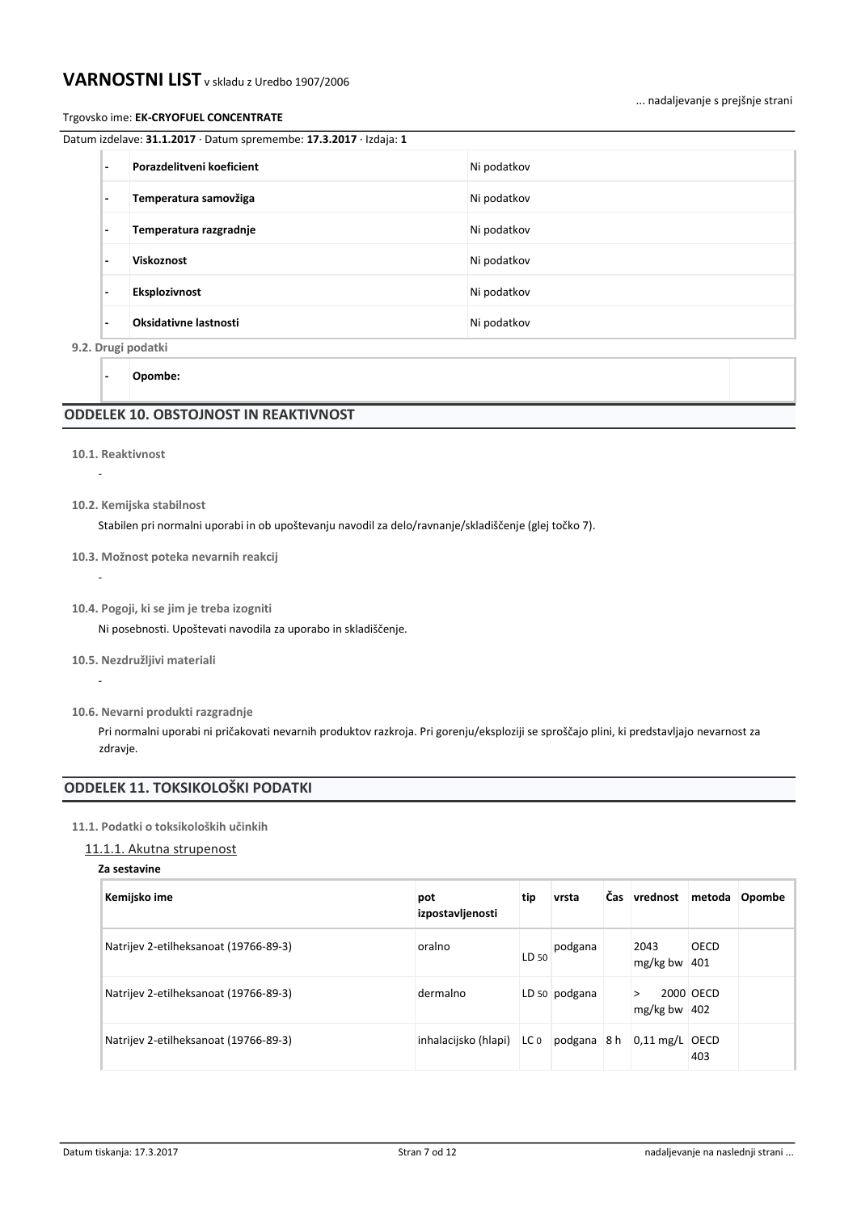### Trgovsko ime: **EK-CRYOFUEL CONCENTRATE**

|                          | Datum izdelave: <b>31.1.2017</b> · Datum spremembe: 1 <b>7.3.2017</b> · Izdaja: 1 |             |
|--------------------------|-----------------------------------------------------------------------------------|-------------|
| $\overline{\phantom{a}}$ | Porazdelitveni koeficient                                                         | Ni podatkov |
| $\overline{\phantom{a}}$ | Temperatura samovžiga                                                             | Ni podatkov |
| $\overline{\phantom{a}}$ | Temperatura razgradnje                                                            | Ni podatkov |

**- Viskoznost** Ni podatkov **- Eksplozivnost** Ni podatkov **- Oksidativne lastnosti** Ni podatkov

**9.2. Drugi podatki**

**- Opombe:**

# **ODDELEK 10. OBSTOJNOST IN REAKTIVNOST**

**10.1. Reaktivnost**

-

-

-

- **10.2. Kemijska stabilnost**
	- Stabilen pri normalni uporabi in ob upoštevanju navodil za delo/ravnanje/skladiščenje (glej točko 7).

#### **10.3. Možnost poteka nevarnih reakcij**

**10.4. Pogoji, ki se jim je treba izogniti**

Ni posebnosti. Upoštevati navodila za uporabo in skladiščenje.

**10.5. Nezdružljivi materiali**

Pri normalni uporabi ni pričakovati nevarnih produktov razkroja. Pri gorenju/eksploziji se sproščajo plini, ki predstavljajo nevarnost za zdravje.

# **ODDELEK 11. TOKSIKOLOŠKI PODATKI**

### **11.1. Podatki o toksikoloških učinkih**

# 11.1.1. Akutna strupenost

#### **Za sestavine**

| Kemijsko ime                          | pot<br>izpostavljenosti     | tip   | vrsta         | Čas vrednost metoda Opombe |           |  |
|---------------------------------------|-----------------------------|-------|---------------|----------------------------|-----------|--|
| Natrijev 2-etilheksanoat (19766-89-3) | oralno                      | LD 50 | podgana       | 2043<br>$mg/kg$ bw 401     | OECD      |  |
| Natrijev 2-etilheksanoat (19766-89-3) | dermalno                    |       | LD 50 podgana | ゝ<br>mg/kg bw $ 402 $      | 2000 OECD |  |
| Natrijev 2-etilheksanoat (19766-89-3) | inhalacijsko (hlapi)   LC 0 |       |               | podgana 8 h 0,11 mg/L OECD | 403       |  |

**<sup>10.6.</sup> Nevarni produkti razgradnje**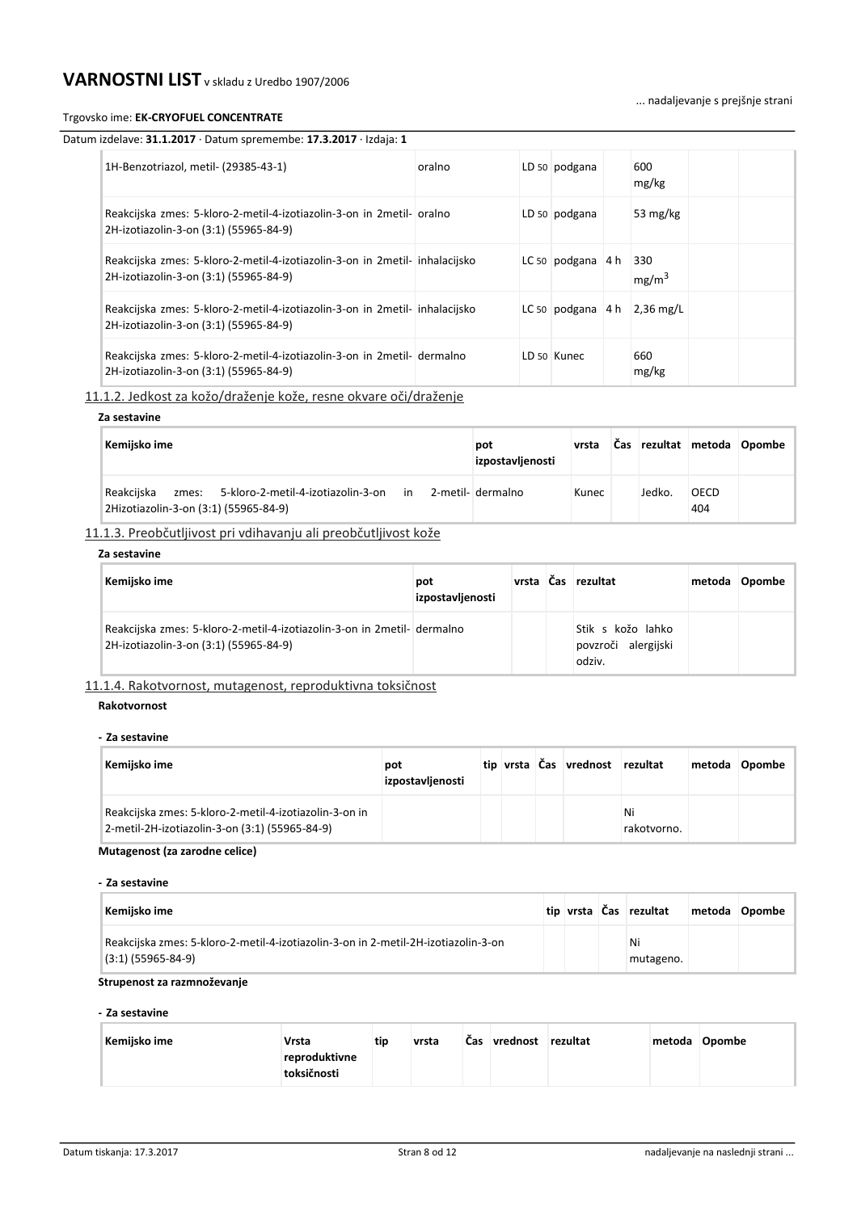### Trgovsko ime: **EK-CRYOFUEL CONCENTRATE**

### ... nadaljevanje s prejšnje strani

| Datum izdelave: 31.1.2017 · Datum spremembe: 17.3.2017 · Izdaja: 1 |
|--------------------------------------------------------------------|
|--------------------------------------------------------------------|

| 1H-Benzotriazol, metil- (29385-43-1)                                                                                  | oralno | LD 50 podgana       | 600<br>mg/kg                  |
|-----------------------------------------------------------------------------------------------------------------------|--------|---------------------|-------------------------------|
| Reakcijska zmes: 5-kloro-2-metil-4-izotiazolin-3-on in 2metil- oralno<br>2H-izotiazolin-3-on (3:1) (55965-84-9)       |        | LD 50 podgana       | 53 $mg/kg$                    |
| Reakcijska zmes: 5-kloro-2-metil-4-izotiazolin-3-on in 2metil- inhalacijsko<br>2H-izotiazolin-3-on (3:1) (55965-84-9) |        | LC 50 podgana $4 h$ | 330<br>mg/m <sup>3</sup>      |
| Reakcijska zmes: 5-kloro-2-metil-4-izotiazolin-3-on in 2metil- inhalacijsko<br>2H-izotiazolin-3-on (3:1) (55965-84-9) |        |                     | LC 50 podgana $4 h$ 2,36 mg/L |
| Reakcijska zmes: 5-kloro-2-metil-4-izotiazolin-3-on in 2metil- dermalno<br>2H-izotiazolin-3-on (3:1) (55965-84-9)     |        | LD 50 Kunec         | 660<br>mg/kg                  |

11.1.2. Jedkost za kožo/draženje kože, resne okvare oči/draženje

# **Za sestavine**

| Kemijsko ime                                                                                       | pot<br>izpostavljenosti | vrsta |        |                    | Čas rezultat metoda Opombe |
|----------------------------------------------------------------------------------------------------|-------------------------|-------|--------|--------------------|----------------------------|
| Reakcijska<br>zmes: 5-kloro-2-metil-4-izotiazolin-3-on in<br>2Hizotiazolin-3-on (3:1) (55965-84-9) | 2-metil- dermalno       | Kunec | Jedko. | <b>OECD</b><br>404 |                            |

# 11.1.3. Preobčutljivost pri vdihavanju ali preobčutljivost kože

#### **Za sestavine**

| Kemijsko ime                                                                                                      | pot<br>izpostavljenosti |  | vrsta Čas rezultat                                 | metoda | Opombe |
|-------------------------------------------------------------------------------------------------------------------|-------------------------|--|----------------------------------------------------|--------|--------|
| Reakcijska zmes: 5-kloro-2-metil-4-izotiazolin-3-on in 2metil- dermalno<br>2H-izotiazolin-3-on (3:1) (55965-84-9) |                         |  | Stik s kožo lahko<br>povzroči alergijski<br>odziv. |        |        |

11.1.4. Rakotvornost, mutagenost, reproduktivna toksičnost

#### **Rakotvornost**

#### **- Za sestavine**

| Kemijsko ime                                                                                             | pot<br>izpostavljenosti |  | tip vrsta Čas vrednost rezultat |                   | metoda Opombe |
|----------------------------------------------------------------------------------------------------------|-------------------------|--|---------------------------------|-------------------|---------------|
| Reakcijska zmes: 5-kloro-2-metil-4-izotiazolin-3-on in<br>2-metil-2H-izotiazolin-3-on (3:1) (55965-84-9) |                         |  |                                 | Ni<br>rakotvorno. |               |

### **Mutagenost (za zarodne celice)**

#### **- Za sestavine**

| Kemijsko ime                                                                                               |  | tip vrsta Čas rezultat | metoda Opombe |
|------------------------------------------------------------------------------------------------------------|--|------------------------|---------------|
| Reakcijska zmes: 5-kloro-2-metil-4-izotiazolin-3-on in 2-metil-2H-izotiazolin-3-on<br>$(3:1)$ (55965-84-9) |  | Ni<br>mutageno.        |               |

#### **Strupenost za razmnoževanje**

#### **- Za sestavine**

| Kemijsko ime | <b>Vrsta</b>                 | tip | vrsta | Cas | vrednost | rezultat | metoda Opombe |
|--------------|------------------------------|-----|-------|-----|----------|----------|---------------|
|              | reproduktivne<br>toksičnosti |     |       |     |          |          |               |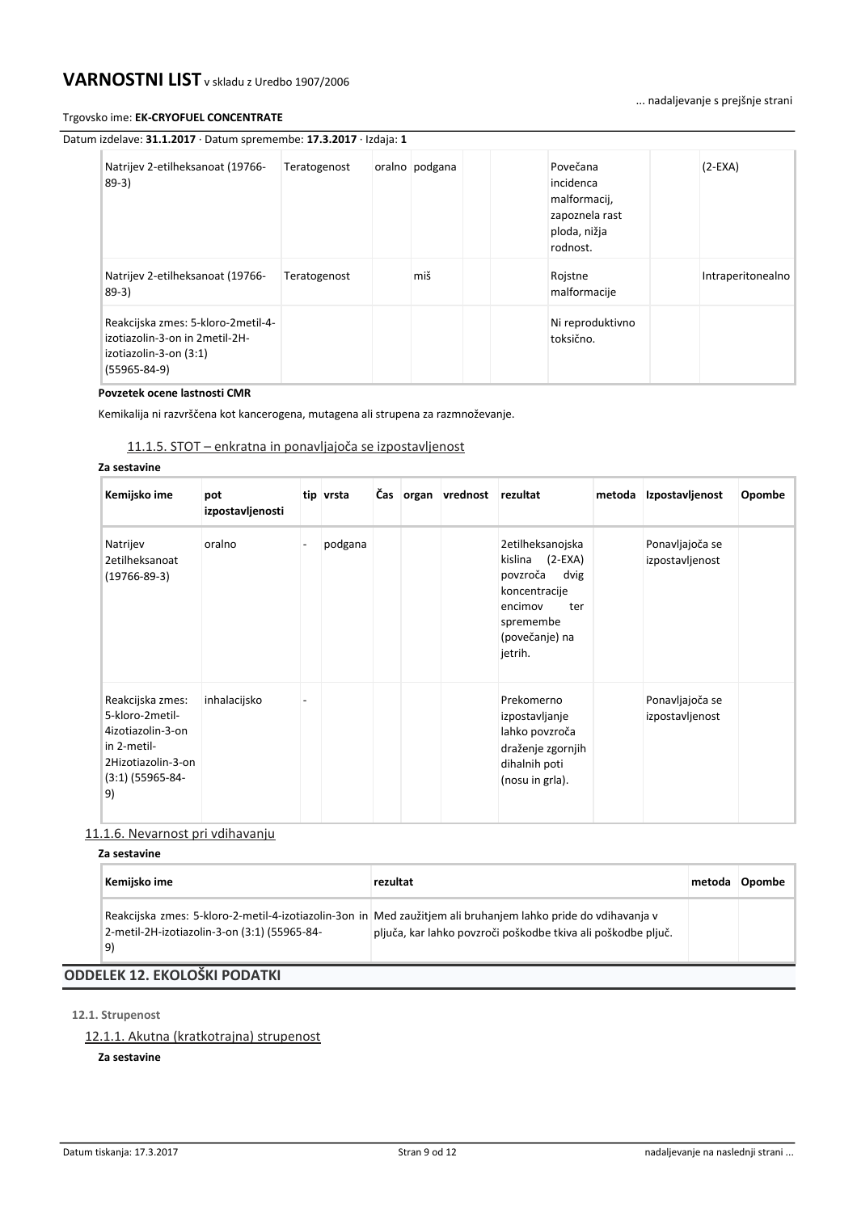#### Trgovsko ime: **EK-CRYOFUEL CONCENTRATE**

... nadaljevanje s prejšnje strani

| Datum izdelave: 31.1.2017 · Datum spremembe: 17.3.2017 · Izdaja: 1 |  |
|--------------------------------------------------------------------|--|

| Natrijev 2-etilheksanoat (19766-<br>$89-3)$                                                                           | Teratogenost | oralno podgana | Povečana<br>incidenca<br>malformacij,<br>zapoznela rast<br>ploda, nižja<br>rodnost. | $(2-EXA)$         |
|-----------------------------------------------------------------------------------------------------------------------|--------------|----------------|-------------------------------------------------------------------------------------|-------------------|
| Natrijev 2-etilheksanoat (19766-<br>$89-3)$                                                                           | Teratogenost | miš            | Rojstne<br>malformacije                                                             | Intraperitonealno |
| Reakcijska zmes: 5-kloro-2metil-4-<br>izotiazolin-3-on in 2 metil-2H-<br>izotiazolin-3-on (3:1)<br>$(55965 - 84 - 9)$ |              |                | Ni reproduktivno<br>toksično.                                                       |                   |

# **Povzetek ocene lastnosti CMR**

Kemikalija ni razvrščena kot kancerogena, mutagena ali strupena za razmnoževanje.

# 11.1.5. STOT – enkratna in ponavljajoča se izpostavljenost

#### **Za sestavine**

| Kemijsko ime                                                                                                              | pot<br>izpostavljenosti | tip vrsta |  | Čas organ vrednost | rezultat                                                                                                                                  | metoda | Izpostavljenost                    | Opombe |
|---------------------------------------------------------------------------------------------------------------------------|-------------------------|-----------|--|--------------------|-------------------------------------------------------------------------------------------------------------------------------------------|--------|------------------------------------|--------|
| Natrijev<br>2etilheksanoat<br>$(19766 - 89 - 3)$                                                                          | oralno                  | podgana   |  |                    | 2etilheksanojska<br>$(2-EXA)$<br>kislina<br>povzroča<br>dvig<br>koncentracije<br>encimov<br>ter<br>spremembe<br>(povečanje) na<br>jetrih. |        | Ponavljajoča se<br>izpostavljenost |        |
| Reakcijska zmes:<br>5-kloro-2metil-<br>4izotiazolin-3-on<br>in 2-metil-<br>2Hizotiazolin-3-on<br>$(3:1)$ (55965-84-<br>9) | inhalacijsko            |           |  |                    | Prekomerno<br>izpostavljanje<br>lahko povzroča<br>draženje zgornjih<br>dihalnih poti<br>(nosu in grla).                                   |        | Ponavljajoča se<br>izpostavljenost |        |

# 11.1.6. Nevarnost pri vdihavanju

# **Za sestavine**

| Kemijsko ime                                       | rezultat                                                                                                                                                                       | metoda | Opombe |
|----------------------------------------------------|--------------------------------------------------------------------------------------------------------------------------------------------------------------------------------|--------|--------|
| 2-metil-2H-izotiazolin-3-on (3:1) (55965-84-<br>9) | Reakcijska zmes: 5-kloro-2-metil-4-izotiazolin-3on in Med zaužitjem ali bruhanjem lahko pride do vdihavanja v<br>pljuča, kar lahko povzroči poškodbe tkiva ali poškodbe pljuč. |        |        |
| <b>ODDELEK 12. EKOLOŠKI PODATKI</b>                |                                                                                                                                                                                |        |        |

# **12.1. Strupenost**

# 12.1.1. Akutna (kratkotrajna) strupenost

# **Za sestavine**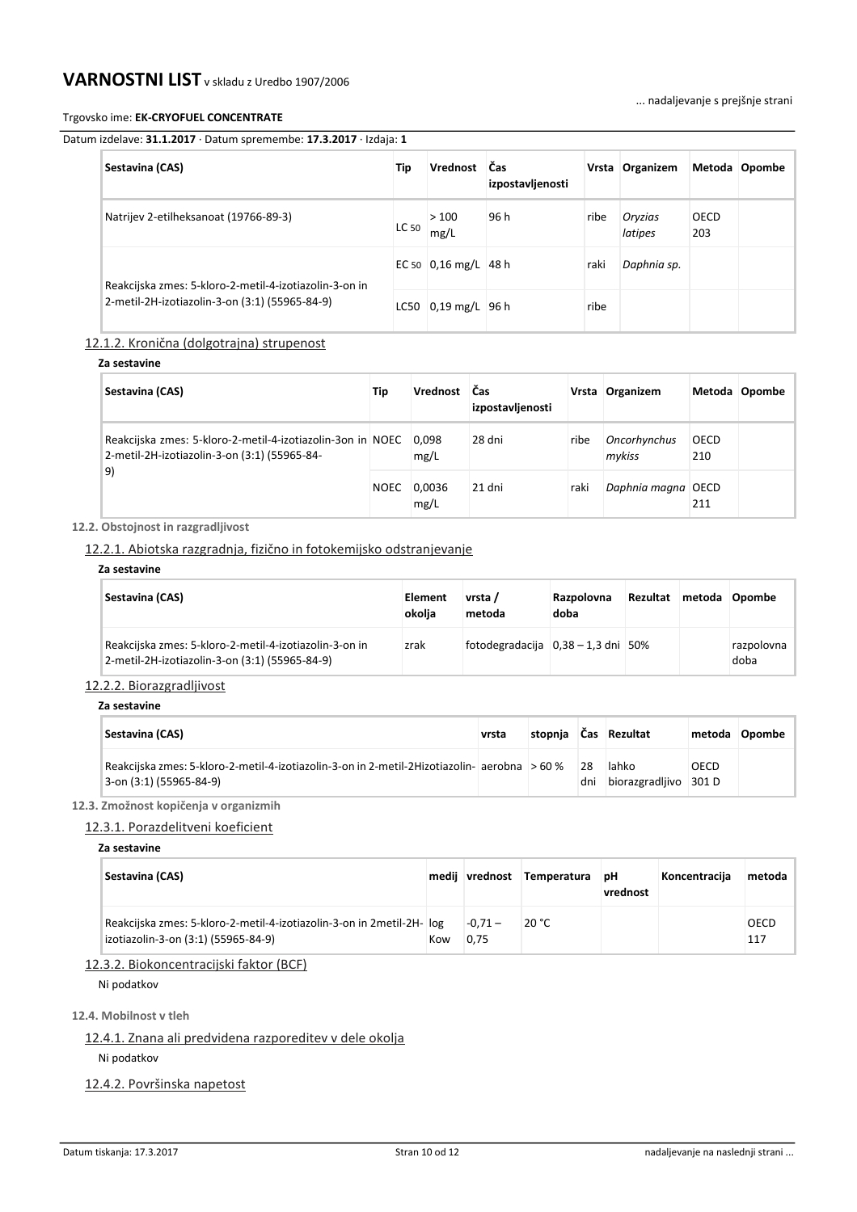#### Trgovsko ime: **EK-CRYOFUEL CONCENTRATE**

... nadaljevanje s prejšnje strani

# Datum izdelave: **31.1.2017** · Datum spremembe: **17.3.2017** · Izdaja: **1**

| Sestavina (CAS)                                                                                          | Tip   | Vrednost Čas                                       | izpostavljenosti |      | Vrsta Organizem    |                    | Metoda Opombe |
|----------------------------------------------------------------------------------------------------------|-------|----------------------------------------------------|------------------|------|--------------------|--------------------|---------------|
| Natrijev 2-etilheksanoat (19766-89-3)                                                                    | LC 50 | >100<br>mg/L                                       | 96 h             | ribe | Oryzias<br>latipes | <b>OECD</b><br>203 |               |
| Reakcijska zmes: 5-kloro-2-metil-4-izotiazolin-3-on in<br>2-metil-2H-izotiazolin-3-on (3:1) (55965-84-9) |       | EC 50 $\vert 0,16 \text{ mg/L} \vert 48 \text{ h}$ |                  | raki | Daphnia sp.        |                    |               |
|                                                                                                          |       | LC50 $0,19$ mg/L 96 h                              |                  | ribe |                    |                    |               |

# 12.1.2. Kronična (dolgotrajna) strupenost

# **Za sestavine**

| Sestavina (CAS)                                                                                                  | Tip         | Vrednost       | <b>Cas</b><br>izpostavljenosti |      | Vrsta Organizem        |             | Metoda Opombe |
|------------------------------------------------------------------------------------------------------------------|-------------|----------------|--------------------------------|------|------------------------|-------------|---------------|
| Reakcijska zmes: 5-kloro-2-metil-4-izotiazolin-3on in NOEC<br>2-metil-2H-izotiazolin-3-on (3:1) (55965-84-<br>9) |             | 0,098<br>mg/L  | 28 dni                         | ribe | Oncorhynchus<br>mykiss | OECD<br>210 |               |
|                                                                                                                  | <b>NOEC</b> | 0,0036<br>mg/L | 21 dni                         | raki | Daphnia magna OECD     | 211         |               |

# **12.2. Obstojnost in razgradljivost**

12.2.1. Abiotska razgradnja, fizično in fotokemijsko odstranjevanje

# **Za sestavine**

**Za sestavine**

| Sestavina (CAS)                                                                                          | Element<br>okolia | vrsta /<br>metoda                    | Razpolovna<br>doba | Rezultat | metoda | Opombe             |
|----------------------------------------------------------------------------------------------------------|-------------------|--------------------------------------|--------------------|----------|--------|--------------------|
| Reakcijska zmes: 5-kloro-2-metil-4-izotiazolin-3-on in<br>2-metil-2H-izotiazolin-3-on (3:1) (55965-84-9) | zrak              | fotodegradacija $0,38 - 1,3$ dni 50% |                    |          |        | razpolovna<br>doba |

# 12.2.2. Biorazgradljivost

| Sestavina (CAS)                                                                                                         | vrsta | stopnja |           | Cas Rezultat                   |             | metoda Opombe |
|-------------------------------------------------------------------------------------------------------------------------|-------|---------|-----------|--------------------------------|-------------|---------------|
| Reakcijska zmes: 5-kloro-2-metil-4-izotiazolin-3-on in 2-metil-2Hizotiazolin- aerobna > 60 %<br>3-on (3:1) (55965-84-9) |       |         | 28<br>dni | lahko<br>biorazgradljivo 301 D | <b>OECD</b> |               |

# **12.3. Zmožnost kopičenja v organizmih**

# 12.3.1. Porazdelitveni koeficient

# **Za sestavine**

| Sestavina (CAS)                                                                                              |     | medij vrednost   | Temperatura | рH<br>vrednost | Koncentracija | metoda      |
|--------------------------------------------------------------------------------------------------------------|-----|------------------|-------------|----------------|---------------|-------------|
| Reakcijska zmes: 5-kloro-2-metil-4-izotiazolin-3-on in 2metil-2H- log<br>izotiazolin-3-on (3:1) (55965-84-9) | Kow | $-0.71-$<br>0.75 | 20 °C       |                |               | OECD<br>117 |

# 12.3.2. Biokoncentracijski faktor (BCF)

Ni podatkov

# **12.4. Mobilnost v tleh**

# 12.4.1. Znana ali predvidena razporeditev v dele okolja

Ni podatkov

# 12.4.2. Površinska napetost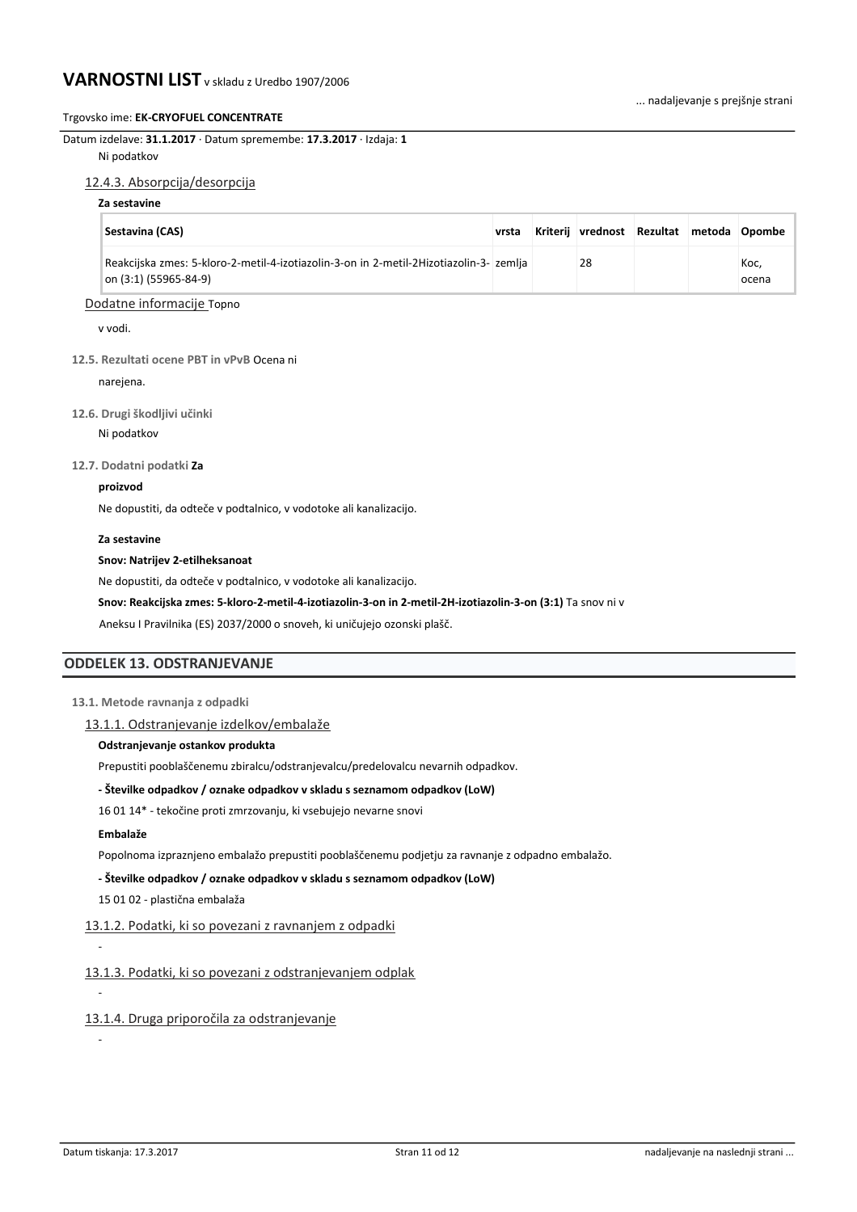### Trgovsko ime: **EK-CRYOFUEL CONCENTRATE**

Datum izdelave: **31.1.2017** · Datum spremembe: **17.3.2017** · Izdaja: **1** Ni podatkov

#### 12.4.3. Absorpcija/desorpcija

# **Za sestavine**

| Sestavina (CAS)                                                                                                 | vrsta | <b>Kriterij</b> | vrednost Rezultat metoda Opombe |  |               |
|-----------------------------------------------------------------------------------------------------------------|-------|-----------------|---------------------------------|--|---------------|
| Reakcijska zmes: 5-kloro-2-metil-4-izotiazolin-3-on in 2-metil-2Hizotiazolin-3- zemlja<br>on (3:1) (55965-84-9) |       |                 | 28                              |  | Koc.<br>ocena |

# Dodatne informacije Topno

v vodi.

#### **12.5. Rezultati ocene PBT in vPvB** Ocena ni

narejena.

#### **12.6. Drugi škodljivi učinki**

Ni podatkov

# **12.7. Dodatni podatki Za**

#### **proizvod**

Ne dopustiti, da odteče v podtalnico, v vodotoke ali kanalizacijo.

#### **Za sestavine**

#### **Snov: Natrijev 2-etilheksanoat**

Ne dopustiti, da odteče v podtalnico, v vodotoke ali kanalizacijo.

**Snov: Reakcijska zmes: 5-kloro-2-metil-4-izotiazolin-3-on in 2-metil-2H-izotiazolin-3-on (3:1)** Ta snov ni v

Aneksu I Pravilnika (ES) 2037/2000 o snoveh, ki uničujejo ozonski plašč.

# **ODDELEK 13. ODSTRANJEVANJE**

### **13.1. Metode ravnanja z odpadki**

# 13.1.1. Odstranjevanje izdelkov/embalaže

# **Odstranjevanje ostankov produkta**

Prepustiti pooblaščenemu zbiralcu/odstranjevalcu/predelovalcu nevarnih odpadkov.

#### **- Številke odpadkov / oznake odpadkov v skladu s seznamom odpadkov (LoW)**

16 01 14\* - tekočine proti zmrzovanju, ki vsebujejo nevarne snovi

#### **Embalaže**

-

-

-

Popolnoma izpraznjeno embalažo prepustiti pooblaščenemu podjetju za ravnanje z odpadno embalažo.

**- Številke odpadkov / oznake odpadkov v skladu s seznamom odpadkov (LoW)**

15 01 02 - plastična embalaža

# 13.1.2. Podatki, ki so povezani z ravnanjem z odpadki

13.1.3. Podatki, ki so povezani z odstranjevanjem odplak

13.1.4. Druga priporočila za odstranjevanje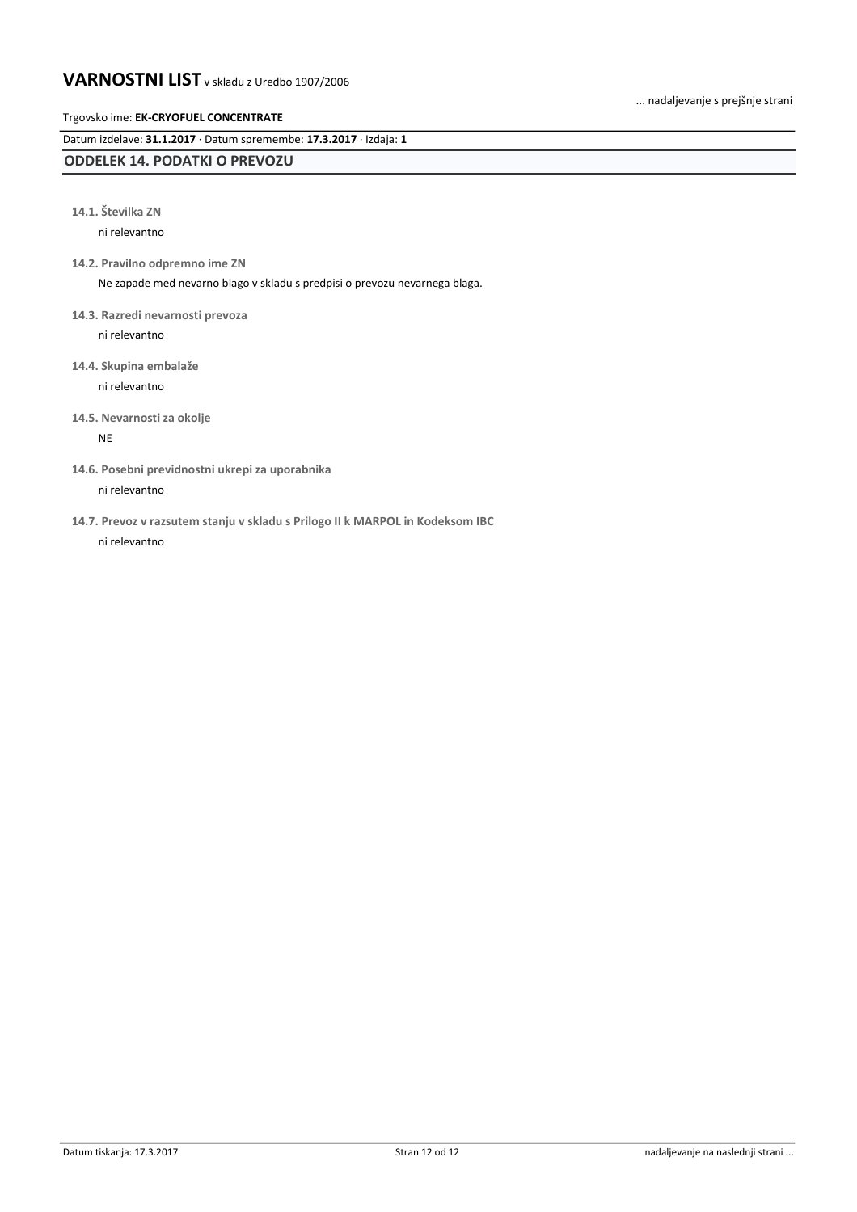... nadaljevanje s prejšnje strani

# Trgovsko ime: **EK-CRYOFUEL CONCENTRATE**

Datum izdelave: **31.1.2017** · Datum spremembe: **17.3.2017** · Izdaja: **1**

# **ODDELEK 14. PODATKI O PREVOZU**

**14.1. Številka ZN**

ni relevantno

**14.2. Pravilno odpremno ime ZN**

Ne zapade med nevarno blago v skladu s predpisi o prevozu nevarnega blaga.

**14.3. Razredi nevarnosti prevoza**

ni relevantno

**14.4. Skupina embalaže** ni relevantno

**14.5. Nevarnosti za okolje**

NE

**14.6. Posebni previdnostni ukrepi za uporabnika**

ni relevantno

**14.7. Prevoz v razsutem stanju v skladu s Prilogo II k MARPOL in Kodeksom IBC** ni relevantno